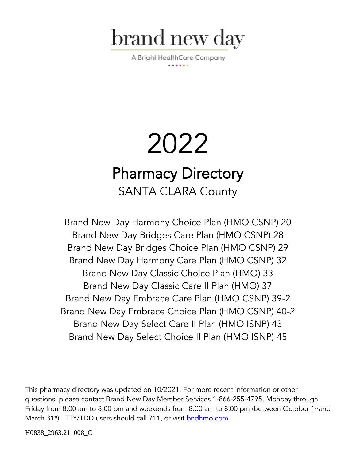

A Bright HealthCare Company

# 2022 Pharmacy Directory SANTA CLARA County

Brand New Day Harmony Choice Plan (HMO CSNP) 20 Brand New Day Bridges Care Plan (HMO CSNP) 28 Brand New Day Bridges Choice Plan (HMO CSNP) 29 Brand New Day Harmony Care Plan (HMO CSNP) 32 Brand New Day Classic Choice Plan (HMO) 33 Brand New Day Classic Care II Plan (HMO) 37 Brand New Day Embrace Care Plan (HMO CSNP) 39-2 Brand New Day Embrace Choice Plan (HMO CSNP) 40-2 Brand New Day Select Care II Plan (HMO ISNP) 43 Brand New Day Select Choice II Plan (HMO ISNP) 45

This pharmacy directory was updated on 10/2021. For more recent information or other questions, please contact Brand New Day Member Services 1-866-255-4795, Monday through Friday from 8:00 am to 8:00 pm and weekends from 8:00 am to 8:00 pm (between October 1st and March 31<sup>st</sup>). TTY/TDD users should call 711, or visit **bndhmo.com**.

H0838\_2963.211008\_C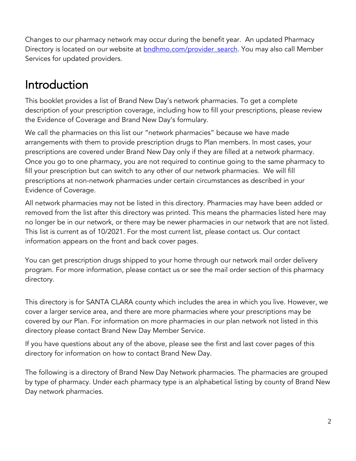Changes to our pharmacy network may occur during the benefit year. An updated Pharmacy Directory is located on our website at **bndhmo.com/provider** search. You may also call Member Services for updated providers.

## Introduction

This booklet provides a list of Brand New Day's network pharmacies. To get a complete description of your prescription coverage, including how to fill your prescriptions, please review the Evidence of Coverage and Brand New Day's formulary.

We call the pharmacies on this list our "network pharmacies" because we have made arrangements with them to provide prescription drugs to Plan members. In most cases, your prescriptions are covered under Brand New Day only if they are filled at a network pharmacy. Once you go to one pharmacy, you are not required to continue going to the same pharmacy to fill your prescription but can switch to any other of our network pharmacies. We will fill prescriptions at non-network pharmacies under certain circumstances as described in your Evidence of Coverage.

All network pharmacies may not be listed in this directory. Pharmacies may have been added or removed from the list after this directory was printed. This means the pharmacies listed here may no longer be in our network, or there may be newer pharmacies in our network that are not listed. This list is current as of 10/2021. For the most current list, please contact us. Our contact information appears on the front and back cover pages.

You can get prescription drugs shipped to your home through our network mail order delivery program. For more information, please contact us or see the mail order section of this pharmacy directory.

This directory is for SANTA CLARA county which includes the area in which you live. However, we cover a larger service area, and there are more pharmacies where your prescriptions may be covered by our Plan. For information on more pharmacies in our plan network not listed in this directory please contact Brand New Day Member Service.

If you have questions about any of the above, please see the first and last cover pages of this directory for information on how to contact Brand New Day.

The following is a directory of Brand New Day Network pharmacies. The pharmacies are grouped by type of pharmacy. Under each pharmacy type is an alphabetical listing by county of Brand New Day network pharmacies.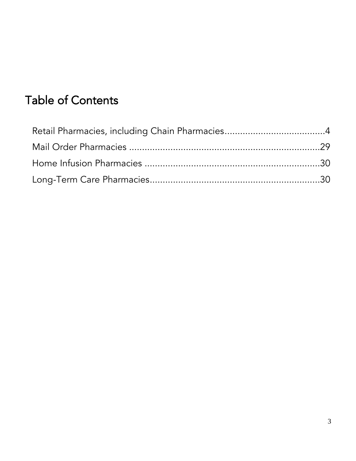## Table of Contents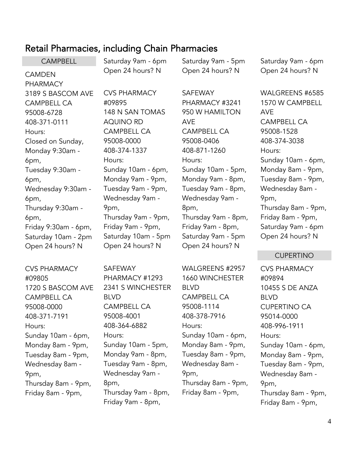### <span id="page-3-0"></span>Retail Pharmacies, including Chain Pharmacies

|                           | <b>Retain Filamiacios, including Chain Filamiacios</b> |                     |                     |
|---------------------------|--------------------------------------------------------|---------------------|---------------------|
| <b>CAMPBELL</b>           | Saturday 9am - 6pm                                     | Saturday 9am - 5pm  | Saturday 9am - 6pm  |
| <b>CAMDEN</b><br>PHARMACY | Open 24 hours? N                                       | Open 24 hours? N    | Open 24 hours? N    |
| 3189 S BASCOM AVE         | <b>CVS PHARMACY</b>                                    | <b>SAFEWAY</b>      | WALGREENS #6585     |
| <b>CAMPBELL CA</b>        | #09895                                                 | PHARMACY #3241      | 1570 W CAMPBELL     |
| 95008-6728                | 148 N SAN TOMAS                                        | 950 W HAMILTON      | <b>AVE</b>          |
| 408-371-0111              | <b>AQUINO RD</b>                                       | <b>AVE</b>          | <b>CAMPBELL CA</b>  |
| Hours:                    | <b>CAMPBELL CA</b>                                     | <b>CAMPBELL CA</b>  | 95008-1528          |
| Closed on Sunday,         | 95008-0000                                             | 95008-0406          | 408-374-3038        |
| Monday 9:30am -           | 408-374-1337                                           | 408-871-1260        | Hours:              |
| 6pm,                      | Hours:                                                 | Hours:              | Sunday 10am - 6pm,  |
| Tuesday 9:30am -          | Sunday 10am - 6pm,                                     | Sunday 10am - 5pm,  | Monday 8am - 9pm,   |
| 6pm,                      | Monday 9am - 9pm,                                      | Monday 9am - 8pm,   | Tuesday 8am - 9pm,  |
| Wednesday 9:30am -        | Tuesday 9am - 9pm,                                     | Tuesday 9am - 8pm,  | Wednesday 8am -     |
| 6pm,                      | Wednesday 9am -                                        | Wednesday 9am -     | 9pm,                |
| Thursday 9:30am -         | 9pm,                                                   | 8pm,                | Thursday 8am - 9pm, |
| 6pm,                      | Thursday 9am - 9pm,                                    | Thursday 9am - 8pm, | Friday 8am - 9pm,   |
| Friday 9:30am - 6pm,      | Friday 9am - 9pm,                                      | Friday 9am - 8pm,   | Saturday 9am - 6pm  |
| Saturday 10am - 2pm       | Saturday 10am - 5pm                                    | Saturday 9am - 5pm  | Open 24 hours? N    |
| Open 24 hours? N          | Open 24 hours? N                                       | Open 24 hours? N    |                     |
|                           |                                                        |                     | <b>CUPERTINO</b>    |
| <b>CVS PHARMACY</b>       | <b>SAFEWAY</b>                                         | WALGREENS #2957     | <b>CVS PHARMACY</b> |
| #09805                    | PHARMACY #1293                                         | 1660 WINCHESTER     | #09894              |
| 1720 S BASCOM AVE         | 2341 S WINCHESTER                                      | <b>BLVD</b>         | 10455 S DE ANZA     |
| <b>CAMPBELL CA</b>        | <b>BLVD</b>                                            | <b>CAMPBELL CA</b>  | <b>BLVD</b>         |
| 95008-0000                | <b>CAMPBELL CA</b>                                     | 95008-1114          | <b>CUPERTINO CA</b> |
| 408-371-7191              | 95008-4001                                             | 408-378-7916        | 95014-0000          |
| Hours:                    | 408-364-6882                                           | Hours:              | 408-996-1911        |
| Sunday 10am - 6pm,        | Hours:                                                 | Sunday 10am - 6pm,  | Hours:              |

Monday 8am - 9pm, Tuesday 8am - 9pm, Wednesday 8am - Thursday 8am - 9pm, Friday 8am - 9pm, Hours: 8pm,

9pm,

Sunday 10am - 5pm, Monday 9am - 8pm, Tuesday 9am - 8pm, Wednesday 9am - Thursday 9am - 8pm, Friday 9am - 8pm,

Sunday 10am - 6pm, Monday 8am - 9pm, Tuesday 8am - 9pm, Wednesday 8am - 9pm, Thursday 8am - 9pm, Friday 8am - 9pm,

#### 4

Sunday 10am - 6pm, Monday 8am - 9pm, Tuesday 8am - 9pm, Wednesday 8am -

Thursday 8am - 9pm, Friday 8am - 9pm,

9pm,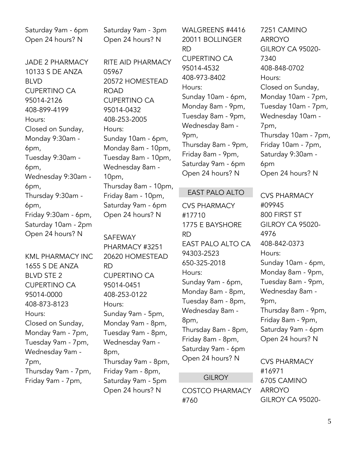Saturday 9am - 6pm Open 24 hours? N

JADE 2 PHARMACY 10133 S DE ANZA BLVD CUPERTINO CA 95014-2126 408-899-4199 Hours: Closed on Sunday, Monday 9:30am - 6pm, Tuesday 9:30am - 6pm, Wednesday 9:30am - 6pm, Thursday 9:30am - 6pm, Friday 9:30am - 6pm, Saturday 10am - 2pm Open 24 hours? N

KML PHARMACY INC 1655 S DE ANZA BLVD STE 2 CUPERTINO CA 95014-0000 408-873-8123 Hours: Closed on Sunday, Monday 9am - 7pm, Tuesday 9am - 7pm, Wednesday 9am - 7pm, Thursday 9am - 7pm, Friday 9am - 7pm,

Saturday 9am - 3pm Open 24 hours? N

RITE AID PHARMACY 05967 20572 HOMESTEAD ROAD CUPERTINO CA 95014-0432 408-253-2005 Hours: Sunday 10am - 6pm, Monday 8am - 10pm, Tuesday 8am - 10pm, Wednesday 8am - 10pm, Thursday 8am - 10pm, Friday 8am - 10pm, Saturday 9am - 6pm Open 24 hours? N

#### SAFEWAY PHARMACY #3251 20620 HOMESTEAD RD CUPERTINO CA 95014-0451 408-253-0122 Hours: Sunday 9am - 5pm, Monday 9am - 8pm, Tuesday 9am - 8pm, Wednesday 9am - 8pm, Thursday 9am - 8pm, Friday 9am - 8pm, Saturday 9am - 5pm Open 24 hours? N

WALGREENS #4416 20011 BOLLINGER RD CUPERTINO CA 95014-4532 408-973-8402 Hours: Sunday 10am - 6pm, Monday 8am - 9pm, Tuesday 8am - 9pm, Wednesday 8am - 9pm, Thursday 8am - 9pm, Friday 8am - 9pm, Saturday 9am - 6pm Open 24 hours? N

#### EAST PALO ALTO

CVS PHARMACY #17710 1775 E BAYSHORE RD EAST PALO ALTO CA 94303-2523 650-325-2018 Hours: Sunday 9am - 6pm, Monday 8am - 8pm, Tuesday 8am - 8pm, Wednesday 8am - 8pm, Thursday 8am - 8pm, Friday 8am - 8pm, Saturday 9am - 6pm Open 24 hours? N

#### **GILROY**

COSTCO PHARMACY #760

7251 CAMINO ARROYO GILROY CA 95020- 7340 408-848-0702 Hours: Closed on Sunday, Monday 10am - 7pm, Tuesday 10am - 7pm, Wednesday 10am - 7pm, Thursday 10am - 7pm, Friday 10am - 7pm, Saturday 9:30am - 6pm Open 24 hours? N

CVS PHARMACY #09945 800 FIRST ST GILROY CA 95020- 4976 408-842-0373 Hours: Sunday 10am - 6pm, Monday 8am - 9pm, Tuesday 8am - 9pm, Wednesday 8am - 9pm, Thursday 8am - 9pm, Friday 8am - 9pm, Saturday 9am - 6pm Open 24 hours? N

CVS PHARMACY #16971 6705 CAMINO ARROYO GILROY CA 95020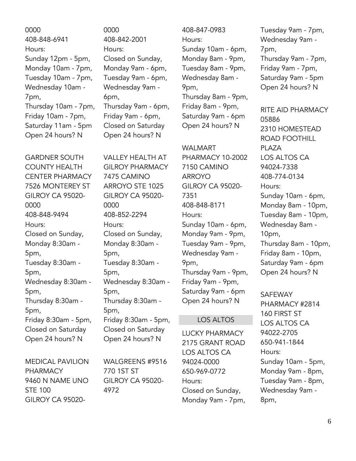0000 408-848-6941 Hours: Sunday 12pm - 5pm, Monday 10am - 7pm, Tuesday 10am - 7pm, Wednesday 10am - 7pm, Thursday 10am - 7pm, Friday 10am - 7pm, Saturday 11am - 5pm Open 24 hours? N

GARDNER SOUTH COUNTY HEALTH CENTER PHARMACY 7526 MONTEREY ST GILROY CA 95020- 0000 408-848-9494 Hours: Closed on Sunday, Monday 8:30am - 5pm, Tuesday 8:30am - 5pm, Wednesday 8:30am - 5pm, Thursday 8:30am - 5pm, Friday 8:30am - 5pm, Closed on Saturday Open 24 hours? N

MEDICAL PAVILION PHARMACY 9460 N NAME UNO STE 100 GILROY CA 950200000 408-842-2001 Hours: Closed on Sunday, Monday 9am - 6pm, Tuesday 9am - 6pm, Wednesday 9am - 6pm, Thursday 9am - 6pm, Friday 9am - 6pm, Closed on Saturday Open 24 hours? N

VALLEY HEALTH AT GILROY PHARMACY 7475 CAMINO ARROYO STE 1025 GILROY CA 95020- 0000 408-852-2294 Hours: Closed on Sunday, Monday 8:30am - 5pm, Tuesday 8:30am - 5pm, Wednesday 8:30am - 5pm, Thursday 8:30am - 5pm, Friday 8:30am - 5pm, Closed on Saturday Open 24 hours? N

WALGREENS #9516 770 1ST ST GILROY CA 95020- 4972

408-847-0983 Hours: Sunday 10am - 6pm, Monday 8am - 9pm, Tuesday 8am - 9pm, Wednesday 8am - 9pm, Thursday 8am - 9pm, Friday 8am - 9pm, Saturday 9am - 6pm Open 24 hours? N

WALMART PHARMACY 10-2002 7150 CAMINO ARROYO GILROY CA 95020- 7351 408-848-8171 Hours: Sunday 10am - 6pm, Monday 9am - 9pm, Tuesday 9am - 9pm, Wednesday 9am - 9pm, Thursday 9am - 9pm, Friday 9am - 9pm, Saturday 9am - 6pm Open 24 hours? N

#### LOS ALTOS

LUCKY PHARMACY 2175 GRANT ROAD LOS ALTOS CA 94024-0000 650-969-0772 Hours: Closed on Sunday, Monday 9am - 7pm,

Tuesday 9am - 7pm, Wednesday 9am - 7pm, Thursday 9am - 7pm, Friday 9am - 7pm, Saturday 9am - 5pm Open 24 hours? N

RITE AID PHARMACY 05886 2310 HOMESTEAD ROAD FOOTHILL PLAZA LOS ALTOS CA 94024-7338 408-774-0134 Hours: Sunday 10am - 6pm, Monday 8am - 10pm, Tuesday 8am - 10pm, Wednesday 8am - 10pm, Thursday 8am - 10pm, Friday 8am - 10pm, Saturday 9am - 6pm Open 24 hours? N

SAFEWAY PHARMACY #2814 160 FIRST ST LOS ALTOS CA 94022-2705 650-941-1844 Hours:

Sunday 10am - 5pm, Monday 9am - 8pm, Tuesday 9am - 8pm, Wednesday 9am - 8pm,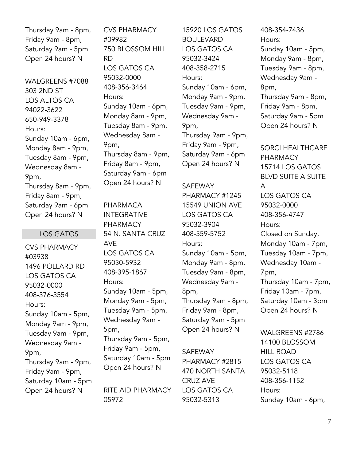Thursday 9am - 8pm, Friday 9am - 8pm, Saturday 9am - 5pm Open 24 hours? N

WALGREENS #7088 303 2ND ST LOS ALTOS CA 94022-3622 650-949-3378 Hours: Sunday 10am - 6pm, Monday 8am - 9pm, Tuesday 8am - 9pm, Wednesday 8am - 9pm, Thursday 8am - 9pm, Friday 8am - 9pm, Saturday 9am - 6pm Open 24 hours? N

#### LOS GATOS

CVS PHARMACY #03938 1496 POLLARD RD LOS GATOS CA 95032-0000 408-376-3554 Hours: Sunday 10am - 5pm, Monday 9am - 9pm, Tuesday 9am - 9pm, Wednesday 9am - 9pm, Thursday 9am - 9pm, Friday 9am - 9pm, Saturday 10am - 5pm Open 24 hours? N

CVS PHARMACY #09982 750 BLOSSOM HILL RD LOS GATOS CA 95032-0000 408-356-3464 Hours: Sunday 10am - 6pm, Monday 8am - 9pm, Tuesday 8am - 9pm, Wednesday 8am - 9pm, Thursday 8am - 9pm, Friday 8am - 9pm, Saturday 9am - 6pm Open 24 hours? N

PHARMACA INTEGRATIVE PHARMACY 54 N. SANTA CRUZ AVE LOS GATOS CA 95030-5932 408-395-1867 Hours: Sunday 10am - 5pm, Monday 9am - 5pm, Tuesday 9am - 5pm, Wednesday 9am - 5pm, Thursday 9am - 5pm, Friday 9am - 5pm, Saturday 10am - 5pm Open 24 hours? N

RITE AID PHARMACY 05972

15920 LOS GATOS BOULEVARD LOS GATOS CA 95032-3424 408-358-2715 Hours: Sunday 10am - 6pm, Monday 9am - 9pm, Tuesday 9am - 9pm, Wednesday 9am - 9pm, Thursday 9am - 9pm, Friday 9am - 9pm, Saturday 9am - 6pm Open 24 hours? N

SAFEWAY PHARMACY #1245 15549 UNION AVE LOS GATOS CA 95032-3904 408-559-5752 Hours: Sunday 10am - 5pm, Monday 9am - 8pm, Tuesday 9am - 8pm, Wednesday 9am - 8pm, Thursday 9am - 8pm, Friday 9am - 8pm, Saturday 9am - 5pm Open 24 hours? N

SAFEWAY PHARMACY #2815 470 NORTH SANTA CRUZ AVE LOS GATOS CA 95032-5313

408-354-7436 Hours: Sunday 10am - 5pm, Monday 9am - 8pm, Tuesday 9am - 8pm, Wednesday 9am - 8pm, Thursday 9am - 8pm, Friday 9am - 8pm, Saturday 9am - 5pm Open 24 hours? N

SORCI HEALTHCARE PHARMACY 15714 LOS GATOS BLVD SUITE A SUITE A LOS GATOS CA 95032-0000 408-356-4747 Hours: Closed on Sunday, Monday 10am - 7pm, Tuesday 10am - 7pm, Wednesday 10am - 7pm, Thursday 10am - 7pm, Friday 10am - 7pm, Saturday 10am - 3pm Open 24 hours? N

WALGREENS #2786 14100 BLOSSOM HILL ROAD LOS GATOS CA 95032-5118 408-356-1152 Hours: Sunday 10am - 6pm,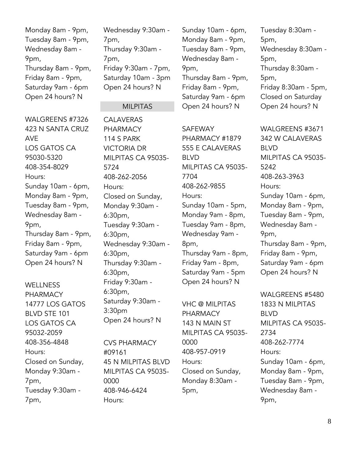Monday 8am - 9pm, Tuesday 8am - 9pm, Wednesday 8am - 9pm, Thursday 8am - 9pm, Friday 8am - 9pm, Saturday 9am - 6pm Open 24 hours? N

Wednesday 9:30am - 7pm, Thursday 9:30am - 7pm, Friday 9:30am - 7pm, Saturday 10am - 3pm Open 24 hours? N

#### MILPITAS

WALGREENS #7326 423 N SANTA CRUZ AVE LOS GATOS CA 95030-5320 408-354-8029 Hours: Sunday 10am - 6pm, Monday 8am - 9pm, Tuesday 8am - 9pm, Wednesday 8am - 9pm, Thursday 8am - 9pm, Friday 8am - 9pm, Saturday 9am - 6pm Open 24 hours? N

**WELLNESS** PHARMACY 14777 LOS GATOS BLVD STE 101 LOS GATOS CA 95032-2059 408-356-4848 Hours: Closed on Sunday, Monday 9:30am - 7pm, Tuesday 9:30am - 7pm,

CALAVERAS PHARMACY 114 S PARK VICTORIA DR MILPITAS CA 95035- 5724 408-262-2056 Hours: Closed on Sunday, Monday 9:30am - 6:30pm, Tuesday 9:30am - 6:30pm, Wednesday 9:30am - 6:30pm, Thursday 9:30am - 6:30pm, Friday 9:30am - 6:30pm, Saturday 9:30am - 3:30pm Open 24 hours? N

CVS PHARMACY #09161 45 N MILPITAS BLVD MILPITAS CA 95035- 0000 408-946-6424 Hours:

Sunday 10am - 6pm, Monday 8am - 9pm, Tuesday 8am - 9pm, Wednesday 8am - 9pm, Thursday 8am - 9pm, Friday 8am - 9pm, Saturday 9am - 6pm Open 24 hours? N

SAFEWAY PHARMACY #1879 555 E CALAVERAS BLVD MILPITAS CA 95035- 7704 408-262-9855 Hours: Sunday 10am - 5pm, Monday 9am - 8pm, Tuesday 9am - 8pm, Wednesday 9am - 8pm, Thursday 9am - 8pm, Friday 9am - 8pm, Saturday 9am - 5pm Open 24 hours? N

VHC @ MILPITAS PHARMACY 143 N MAIN ST MILPITAS CA 95035- 0000 408-957-0919 Hours: Closed on Sunday, Monday 8:30am - 5pm,

Tuesday 8:30am - 5pm, Wednesday 8:30am - 5pm, Thursday 8:30am - 5pm, Friday 8:30am - 5pm, Closed on Saturday Open 24 hours? N

WALGREENS #3671 342 W CALAVERAS BLVD MILPITAS CA 95035- 5242 408-263-3963 Hours: Sunday 10am - 6pm, Monday 8am - 9pm, Tuesday 8am - 9pm, Wednesday 8am - 9pm, Thursday 8am - 9pm, Friday 8am - 9pm, Saturday 9am - 6pm Open 24 hours? N

WALGREENS #5480 1833 N MILPITAS BLVD MILPITAS CA 95035- 2734 408-262-7774 Hours: Sunday 10am - 6pm, Monday 8am - 9pm, Tuesday 8am - 9pm, Wednesday 8am - 9pm,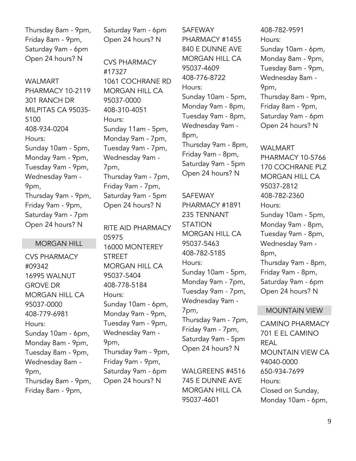Thursday 8am - 9pm, Friday 8am - 9pm, Saturday 9am - 6pm Open 24 hours? N

WALMART PHARMACY 10-2119 301 RANCH DR MILPITAS CA 95035- 5100 408-934-0204 Hours: Sunday 10am - 5pm, Monday 9am - 9pm, Tuesday 9am - 9pm, Wednesday 9am - 9pm, Thursday 9am - 9pm, Friday 9am - 9pm, Saturday 9am - 7pm Open 24 hours? N

#### MORGAN HILL

CVS PHARMACY #09342 16995 WALNUT GROVE DR MORGAN HILL CA 95037-0000 408-779-6981 Hours: Sunday 10am - 6pm, Monday 8am - 9pm, Tuesday 8am - 9pm, Wednesday 8am - 9pm, Thursday 8am - 9pm, Friday 8am - 9pm,

Saturday 9am - 6pm Open 24 hours? N

CVS PHARMACY #17327 1061 COCHRANE RD MORGAN HILL CA 95037-0000 408-310-4051 Hours: Sunday 11am - 5pm, Monday 9am - 7pm, Tuesday 9am - 7pm, Wednesday 9am - 7pm, Thursday 9am - 7pm, Friday 9am - 7pm, Saturday 9am - 5pm Open 24 hours? N

RITE AID PHARMACY 05975 16000 MONTEREY STREET MORGAN HILL CA 95037-5404 408-778-5184 Hours: Sunday 10am - 6pm, Monday 9am - 9pm, Tuesday 9am - 9pm, Wednesday 9am - 9pm, Thursday 9am - 9pm, Friday 9am - 9pm, Saturday 9am - 6pm Open 24 hours? N

SAFEWAY PHARMACY #1455 840 E DUNNE AVE MORGAN HILL CA 95037-4609 408-776-8722 Hours: Sunday 10am - 5pm, Monday 9am - 8pm, Tuesday 9am - 8pm, Wednesday 9am - 8pm, Thursday 9am - 8pm, Friday 9am - 8pm, Saturday 9am - 5pm Open 24 hours? N

SAFEWAY PHARMACY #1891 235 TENNANT STATION MORGAN HILL CA 95037-5463 408-782-5185 Hours: Sunday 10am - 5pm, Monday 9am - 7pm, Tuesday 9am - 7pm, Wednesday 9am - 7pm, Thursday 9am - 7pm, Friday 9am - 7pm, Saturday 9am - 5pm Open 24 hours? N

WALGREENS #4516 745 E DUNNE AVE MORGAN HILL CA 95037-4601

408-782-9591 Hours: Sunday 10am - 6pm, Monday 8am - 9pm, Tuesday 8am - 9pm, Wednesday 8am - 9pm, Thursday 8am - 9pm, Friday 8am - 9pm, Saturday 9am - 6pm Open 24 hours? N

WALMART PHARMACY 10-5766 170 COCHRANE PLZ MORGAN HILL CA 95037-2812 408-782-2360 Hours: Sunday 10am - 5pm, Monday 9am - 8pm, Tuesday 9am - 8pm, Wednesday 9am - 8pm, Thursday 9am - 8pm, Friday 9am - 8pm, Saturday 9am - 6pm Open 24 hours? N

#### MOUNTAIN VIEW

CAMINO PHARMACY 701 E EL CAMINO REAL MOUNTAIN VIEW CA 94040-0000 650-934-7699 Hours: Closed on Sunday, Monday 10am - 6pm,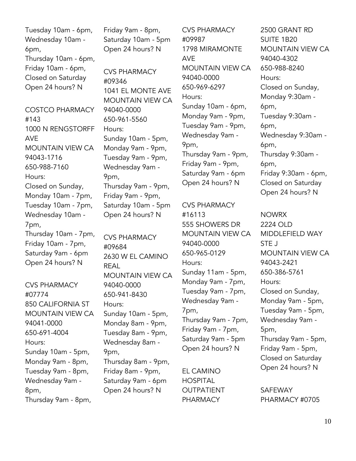Tuesday 10am - 6pm, Wednesday 10am - 6pm, Thursday 10am - 6pm, Friday 10am - 6pm, Closed on Saturday Open 24 hours? N COSTCO PHARMACY

#143 1000 N RENGSTORFF AVE MOUNTAIN VIEW CA 94043-1716 650-988-7160 Hours: Closed on Sunday, Monday 10am - 7pm, Tuesday 10am - 7pm, Wednesday 10am - 7pm, Thursday 10am - 7pm, Friday 10am - 7pm, Saturday 9am - 6pm Open 24 hours? N

CVS PHARMACY #07774 850 CALIFORNIA ST MOUNTAIN VIEW CA 94041-0000 650-691-4004 Hours: Sunday 10am - 5pm, Monday 9am - 8pm, Tuesday 9am - 8pm, Wednesday 9am - 8pm, Thursday 9am - 8pm,

Friday 9am - 8pm, Saturday 10am - 5pm Open 24 hours? N

CVS PHARMACY #09346 1041 EL MONTE AVE MOUNTAIN VIEW CA 94040-0000 650-961-5560 Hours: Sunday 10am - 5pm, Monday 9am - 9pm, Tuesday 9am - 9pm, Wednesday 9am - 9pm, Thursday 9am - 9pm, Friday 9am - 9pm, Saturday 10am - 5pm Open 24 hours? N

CVS PHARMACY #09684 2630 W EL CAMINO REAL MOUNTAIN VIEW CA 94040-0000 650-941-8430 Hours: Sunday 10am - 5pm, Monday 8am - 9pm, Tuesday 8am - 9pm, Wednesday 8am - 9pm, Thursday 8am - 9pm, Friday 8am - 9pm, Saturday 9am - 6pm Open 24 hours? N

CVS PHARMACY #09987 1798 MIRAMONTE AVE MOUNTAIN VIEW CA 94040-0000 650-969-6297 Hours: Sunday 10am - 6pm, Monday 9am - 9pm, Tuesday 9am - 9pm, Wednesday 9am - 9pm, Thursday 9am - 9pm, Friday 9am - 9pm, Saturday 9am - 6pm Open 24 hours? N

CVS PHARMACY #16113 555 SHOWERS DR MOUNTAIN VIEW CA 94040-0000 650-965-0129 Hours: Sunday 11am - 5pm, Monday 9am - 7pm, Tuesday 9am - 7pm, Wednesday 9am - 7pm, Thursday 9am - 7pm, Friday 9am - 7pm, Saturday 9am - 5pm Open 24 hours? N

EL CAMINO **HOSPITAL** OUTPATIENT PHARMACY

2500 GRANT RD SUITE 1B20 MOUNTAIN VIEW CA 94040-4302 650-988-8240 Hours: Closed on Sunday, Monday 9:30am - 6pm, Tuesday 9:30am - 6pm, Wednesday 9:30am - 6pm, Thursday 9:30am - 6pm, Friday 9:30am - 6pm, Closed on Saturday Open 24 hours? N

NOWRX 2224 OLD MIDDLEFIELD WAY STE J MOUNTAIN VIEW CA 94043-2421 650-386-5761 Hours: Closed on Sunday, Monday 9am - 5pm, Tuesday 9am - 5pm, Wednesday 9am - 5pm, Thursday 9am - 5pm, Friday 9am - 5pm, Closed on Saturday Open 24 hours? N

SAFEWAY PHARMACY #0705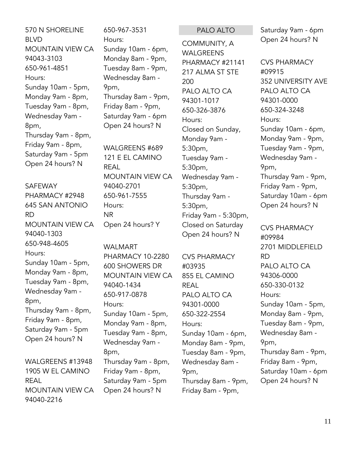570 N SHORELINE BLVD MOUNTAIN VIEW CA 94043-3103 650-961-4851 Hours: Sunday 10am - 5pm, Monday 9am - 8pm, Tuesday 9am - 8pm, Wednesday 9am - 8pm, Thursday 9am - 8pm, Friday 9am - 8pm, Saturday 9am - 5pm Open 24 hours? N

#### SAFEWAY

PHARMACY #2948 645 SAN ANTONIO RD MOUNTAIN VIEW CA 94040-1303 650-948-4605 Hours: Sunday 10am - 5pm, Monday 9am - 8pm, Tuesday 9am - 8pm, Wednesday 9am - 8pm, Thursday 9am - 8pm, Friday 9am - 8pm, Saturday 9am - 5pm Open 24 hours? N

WALGREENS #13948 1905 W EL CAMINO REAL MOUNTAIN VIEW CA 94040-2216

650-967-3531 Hours: Sunday 10am - 6pm, Monday 8am - 9pm, Tuesday 8am - 9pm, Wednesday 8am - 9pm, Thursday 8am - 9pm, Friday 8am - 9pm, Saturday 9am - 6pm Open 24 hours? N

WALGREENS #689 121 E EL CAMINO REAL MOUNTAIN VIEW CA 94040-2701 650-961-7555 Hours: NR Open 24 hours? Y

WALMART PHARMACY 10-2280 600 SHOWERS DR MOUNTAIN VIEW CA 94040-1434 650-917-0878 Hours: Sunday 10am - 5pm, Monday 9am - 8pm, Tuesday 9am - 8pm, Wednesday 9am - 8pm, Thursday 9am - 8pm, Friday 9am - 8pm, Saturday 9am - 5pm Open 24 hours? N

#### PALO ALTO

COMMUNITY, A WALGREENS PHARMACY #21141 217 ALMA ST STE 200 PALO ALTO CA 94301-1017 650-326-3876 Hours: Closed on Sunday, Monday 9am - 5:30pm, Tuesday 9am - 5:30pm, Wednesday 9am - 5:30pm, Thursday 9am - 5:30pm, Friday 9am - 5:30pm, Closed on Saturday Open 24 hours? N

CVS PHARMACY #03935 855 EL CAMINO REAL PALO ALTO CA 94301-0000 650-322-2554 Hours: Sunday 10am - 6pm, Monday 8am - 9pm, Tuesday 8am - 9pm, Wednesday 8am - 9pm, Thursday 8am - 9pm, Friday 8am - 9pm,

Saturday 9am - 6pm Open 24 hours? N

CVS PHARMACY #09915 352 UNIVERSITY AVE PALO ALTO CA 94301-0000 650-324-3248 Hours: Sunday 10am - 6pm, Monday 9am - 9pm, Tuesday 9am - 9pm, Wednesday 9am - 9pm, Thursday 9am - 9pm, Friday 9am - 9pm, Saturday 10am - 6pm Open 24 hours? N

CVS PHARMACY #09984 2701 MIDDLEFIELD RD PALO ALTO CA 94306-0000 650-330-0132 Hours: Sunday 10am - 5pm, Monday 8am - 9pm, Tuesday 8am - 9pm, Wednesday 8am - 9pm, Thursday 8am - 9pm, Friday 8am - 9pm, Saturday 10am - 6pm Open 24 hours? N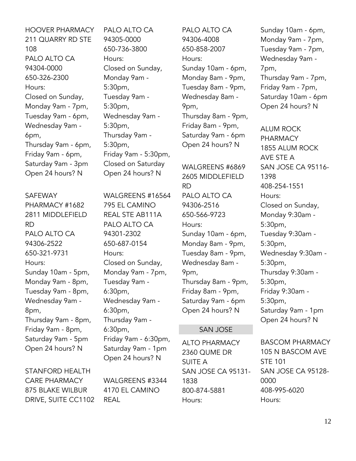HOOVER PHARMACY 211 QUARRY RD STE 108 PALO ALTO CA 94304-0000 650-326-2300 Hours: Closed on Sunday, Monday 9am - 7pm, Tuesday 9am - 6pm, Wednesday 9am - 6pm, Thursday 9am - 6pm, Friday 9am - 6pm, Saturday 9am - 3pm Open 24 hours? N

#### SAFEWAY

PHARMACY #1682 2811 MIDDLEFIELD RD PALO ALTO CA 94306-2522 650-321-9731 Hours: Sunday 10am - 5pm, Monday 9am - 8pm, Tuesday 9am - 8pm, Wednesday 9am - 8pm, Thursday 9am - 8pm, Friday 9am - 8pm, Saturday 9am - 5pm Open 24 hours? N

STANFORD HEALTH CARE PHARMACY 875 BLAKE WILBUR DRIVE, SUITE CC1102 PALO ALTO CA 94305-0000 650-736-3800 Hours: Closed on Sunday, Monday 9am - 5:30pm, Tuesday 9am - 5:30pm, Wednesday 9am - 5:30pm, Thursday 9am - 5:30pm, Friday 9am - 5:30pm, Closed on Saturday Open 24 hours? N

WALGREENS #16564 795 EL CAMINO REAL STE AB111A PALO ALTO CA 94301-2302 650-687-0154 Hours: Closed on Sunday, Monday 9am - 7pm, Tuesday 9am - 6:30pm, Wednesday 9am - 6:30pm, Thursday 9am - 6:30pm, Friday 9am - 6:30pm, Saturday 9am - 1pm Open 24 hours? N

WALGREENS #3344 4170 EL CAMINO REAL

PALO ALTO CA 94306-4008 650-858-2007 Hours: Sunday 10am - 6pm, Monday 8am - 9pm, Tuesday 8am - 9pm, Wednesday 8am - 9pm, Thursday 8am - 9pm, Friday 8am - 9pm, Saturday 9am - 6pm Open 24 hours? N

WALGREENS #6869 2605 MIDDLEFIELD RD PALO ALTO CA 94306-2516 650-566-9723 Hours: Sunday 10am - 6pm, Monday 8am - 9pm, Tuesday 8am - 9pm, Wednesday 8am - 9pm, Thursday 8am - 9pm, Friday 8am - 9pm, Saturday 9am - 6pm Open 24 hours? N

#### SAN JOSE

ALTO PHARMACY 2360 QUME DR SUITE A SAN JOSE CA 95131- 1838 800-874-5881 Hours:

Sunday 10am - 6pm, Monday 9am - 7pm, Tuesday 9am - 7pm, Wednesday 9am - 7pm, Thursday 9am - 7pm, Friday 9am - 7pm, Saturday 10am - 6pm Open 24 hours? N

ALUM ROCK PHARMACY 1855 ALUM ROCK AVE STE A SAN JOSE CA 95116- 1398 408-254-1551 Hours: Closed on Sunday, Monday 9:30am - 5:30pm, Tuesday 9:30am - 5:30pm, Wednesday 9:30am - 5:30pm, Thursday 9:30am - 5:30pm, Friday 9:30am - 5:30pm, Saturday 9am - 1pm Open 24 hours? N

BASCOM PHARMACY 105 N BASCOM AVE STE 101 SAN JOSE CA 95128- 0000 408-995-6020 Hours: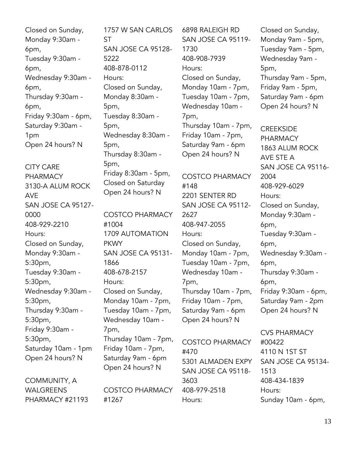Closed on Sunday, Monday 9:30am - 6pm, Tuesday 9:30am - 6pm, Wednesday 9:30am - 6pm, Thursday 9:30am - 6pm, Friday 9:30am - 6pm, Saturday 9:30am - 1pm Open 24 hours? N

CITY CARE PHARMACY 3130-A ALUM ROCK AVE SAN JOSE CA 95127- 0000 408-929-2210 Hours: Closed on Sunday, Monday 9:30am - 5:30pm, Tuesday 9:30am - 5:30pm, Wednesday 9:30am - 5:30pm, Thursday 9:30am - 5:30pm, Friday 9:30am - 5:30pm, Saturday 10am - 1pm Open 24 hours? N

COMMUNITY, A WALGREENS PHARMACY #21193

1757 W SAN CARLOS ST SAN JOSE CA 95128- 5222 408-878-0112 Hours: Closed on Sunday, Monday 8:30am - 5pm, Tuesday 8:30am - 5pm, Wednesday 8:30am - 5pm, Thursday 8:30am - 5pm, Friday 8:30am - 5pm, Closed on Saturday Open 24 hours? N COSTCO PHARMACY

#1004 1709 AUTOMATION PKWY SAN JOSE CA 95131- 1866 408-678-2157 Hours: Closed on Sunday, Monday 10am - 7pm, Tuesday 10am - 7pm, Wednesday 10am - 7pm, Thursday 10am - 7pm, Friday 10am - 7pm, Saturday 9am - 6pm Open 24 hours? N

COSTCO PHARMACY #1267

6898 RALEIGH RD SAN JOSE CA 95119- 1730 408-908-7939 Hours: Closed on Sunday, Monday 10am - 7pm, Tuesday 10am - 7pm, Wednesday 10am - 7pm, Thursday 10am - 7pm, Friday 10am - 7pm, Saturday 9am - 6pm Open 24 hours? N

COSTCO PHARMACY #148 2201 SENTER RD SAN JOSE CA 95112- 2627 408-947-2055 Hours: Closed on Sunday, Monday 10am - 7pm, Tuesday 10am - 7pm, Wednesday 10am - 7pm, Thursday 10am - 7pm, Friday 10am - 7pm, Saturday 9am - 6pm Open 24 hours? N

COSTCO PHARMACY #470 5301 ALMADEN EXPY SAN JOSE CA 95118- 3603 408-979-2518 Hours:

Closed on Sunday, Monday 9am - 5pm, Tuesday 9am - 5pm, Wednesday 9am - 5pm, Thursday 9am - 5pm, Friday 9am - 5pm, Saturday 9am - 6pm Open 24 hours? N

**CREEKSIDE** PHARMACY 1863 ALUM ROCK AVE STE A SAN JOSE CA 95116- 2004 408-929-6029 Hours: Closed on Sunday, Monday 9:30am - 6pm, Tuesday 9:30am - 6pm, Wednesday 9:30am - 6pm, Thursday 9:30am - 6pm, Friday 9:30am - 6pm, Saturday 9am - 2pm Open 24 hours? N

CVS PHARMACY #00422 4110 N 1ST ST SAN JOSE CA 95134- 1513 408-434-1839 Hours: Sunday 10am - 6pm,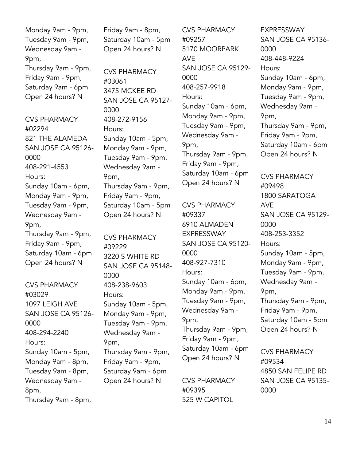Monday 9am - 9pm, Tuesday 9am - 9pm, Wednesday 9am - 9pm, Thursday 9am - 9pm, Friday 9am - 9pm, Saturday 9am - 6pm Open 24 hours? N

CVS PHARMACY #02294 821 THE ALAMEDA SAN JOSE CA 95126- 0000 408-291-4553 Hours: Sunday 10am - 6pm, Monday 9am - 9pm, Tuesday 9am - 9pm, Wednesday 9am - 9pm, Thursday 9am - 9pm, Friday 9am - 9pm, Saturday 10am - 6pm Open 24 hours? N

CVS PHARMACY #03029 1097 LEIGH AVE SAN JOSE CA 95126- 0000 408-294-2240 Hours: Sunday 10am - 5pm, Monday 9am - 8pm, Tuesday 9am - 8pm, Wednesday 9am - 8pm, Thursday 9am - 8pm,

Friday 9am - 8pm, Saturday 10am - 5pm Open 24 hours? N

CVS PHARMACY #03061 3475 MCKEE RD SAN JOSE CA 95127- 0000 408-272-9156 Hours: Sunday 10am - 5pm, Monday 9am - 9pm, Tuesday 9am - 9pm, Wednesday 9am - 9pm, Thursday 9am - 9pm, Friday 9am - 9pm, Saturday 10am - 5pm Open 24 hours? N

CVS PHARMACY #09229 3220 S WHITE RD SAN JOSE CA 95148- 0000 408-238-9603 Hours: Sunday 10am - 5pm, Monday 9am - 9pm, Tuesday 9am - 9pm, Wednesday 9am - 9pm, Thursday 9am - 9pm, Friday 9am - 9pm, Saturday 9am - 6pm Open 24 hours? N

CVS PHARMACY #09257 5170 MOORPARK AVE SAN JOSE CA 95129- 0000 408-257-9918 Hours: Sunday 10am - 6pm, Monday 9am - 9pm, Tuesday 9am - 9pm, Wednesday 9am - 9pm, Thursday 9am - 9pm, Friday 9am - 9pm, Saturday 10am - 6pm Open 24 hours? N

CVS PHARMACY #09337 6910 ALMADEN EXPRESSWAY SAN JOSE CA 95120- 0000 408-927-7310 Hours: Sunday 10am - 6pm, Monday 9am - 9pm, Tuesday 9am - 9pm, Wednesday 9am - 9pm, Thursday 9am - 9pm, Friday 9am - 9pm, Saturday 10am - 6pm Open 24 hours? N

CVS PHARMACY #09395 525 W CAPITOL

EXPRESSWAY SAN JOSE CA 95136- 0000 408-448-9224 Hours: Sunday 10am - 6pm, Monday 9am - 9pm, Tuesday 9am - 9pm, Wednesday 9am - 9pm, Thursday 9am - 9pm, Friday 9am - 9pm, Saturday 10am - 6pm Open 24 hours? N CVS PHARMACY #09498

1800 SARATOGA AVE SAN JOSE CA 95129- 0000 408-253-3352 Hours: Sunday 10am - 5pm, Monday 9am - 9pm, Tuesday 9am - 9pm, Wednesday 9am - 9pm, Thursday 9am - 9pm, Friday 9am - 9pm, Saturday 10am - 5pm Open 24 hours? N

CVS PHARMACY #09534 4850 SAN FELIPE RD SAN JOSE CA 95135- 0000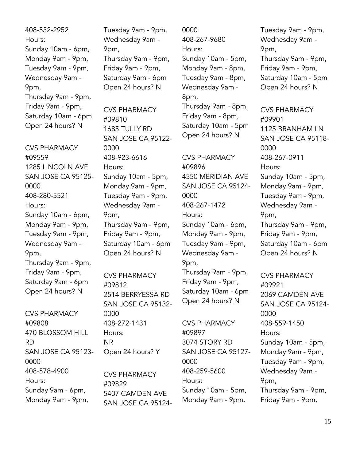408-532-2952 Hours: Sunday 10am - 6pm, Monday 9am - 9pm, Tuesday 9am - 9pm, Wednesday 9am - 9pm, Thursday 9am - 9pm, Friday 9am - 9pm, Saturday 10am - 6pm Open 24 hours? N

CVS PHARMACY #09559 1285 LINCOLN AVE SAN JOSE CA 95125- 0000 408-280-5521 Hours: Sunday 10am - 6pm, Monday 9am - 9pm, Tuesday 9am - 9pm, Wednesday 9am - 9pm, Thursday 9am - 9pm, Friday 9am - 9pm, Saturday 9am - 6pm Open 24 hours? N

CVS PHARMACY #09808 470 BLOSSOM HILL RD SAN JOSE CA 95123- 0000 408-578-4900 Hours: Sunday 9am - 6pm, Monday 9am - 9pm,

Tuesday 9am - 9pm, Wednesday 9am - 9pm, Thursday 9am - 9pm, Friday 9am - 9pm, Saturday 9am - 6pm Open 24 hours? N

CVS PHARMACY #09810 1685 TULLY RD SAN JOSE CA 95122- 0000 408-923-6616 Hours: Sunday 10am - 5pm, Monday 9am - 9pm, Tuesday 9am - 9pm, Wednesday 9am - 9pm, Thursday 9am - 9pm, Friday 9am - 9pm, Saturday 10am - 6pm Open 24 hours? N

CVS PHARMACY #09812 2514 BERRYESSA RD SAN JOSE CA 95132- 0000 408-272-1431 Hours: NR Open 24 hours? Y

CVS PHARMACY #09829 5407 CAMDEN AVE SAN JOSE CA 951240000 408-267-9680 Hours: Sunday 10am - 5pm, Monday 9am - 8pm, Tuesday 9am - 8pm, Wednesday 9am - 8pm, Thursday 9am - 8pm, Friday 9am - 8pm, Saturday 10am - 5pm

Open 24 hours? N

CVS PHARMACY #09896 4550 MERIDIAN AVE SAN JOSE CA 95124- 0000 408-267-1472 Hours: Sunday 10am - 6pm, Monday 9am - 9pm, Tuesday 9am - 9pm, Wednesday 9am - 9pm, Thursday 9am - 9pm,

Friday 9am - 9pm, Saturday 10am - 6pm Open 24 hours? N

CVS PHARMACY #09897 3074 STORY RD SAN JOSE CA 95127- 0000 408-259-5600 Hours: Sunday 10am - 5pm, Monday 9am - 9pm,

Tuesday 9am - 9pm, Wednesday 9am - 9pm, Thursday 9am - 9pm, Friday 9am - 9pm, Saturday 10am - 5pm Open 24 hours? N

CVS PHARMACY #09901 1125 BRANHAM LN SAN JOSE CA 95118- 0000 408-267-0911 Hours: Sunday 10am - 5pm, Monday 9am - 9pm, Tuesday 9am - 9pm, Wednesday 9am - 9pm, Thursday 9am - 9pm, Friday 9am - 9pm, Saturday 10am - 6pm Open 24 hours? N

CVS PHARMACY #09921 2069 CAMDEN AVE SAN JOSE CA 95124- 0000 408-559-1450 Hours: Sunday 10am - 5pm, Monday 9am - 9pm, Tuesday 9am - 9pm, Wednesday 9am - 9pm, Thursday 9am - 9pm, Friday 9am - 9pm,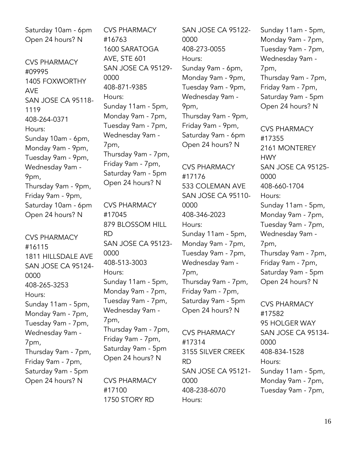Saturday 10am - 6pm Open 24 hours? N

CVS PHARMACY #09995 1405 FOXWORTHY AVE SAN JOSE CA 95118- 1119 408-264-0371 Hours: Sunday 10am - 6pm, Monday 9am - 9pm, Tuesday 9am - 9pm, Wednesday 9am - 9pm, Thursday 9am - 9pm, Friday 9am - 9pm, Saturday 10am - 6pm Open 24 hours? N

CVS PHARMACY #16115 1811 HILLSDALE AVE SAN JOSE CA 95124- 0000 408-265-3253 Hours: Sunday 11am - 5pm, Monday 9am - 7pm, Tuesday 9am - 7pm, Wednesday 9am - 7pm, Thursday 9am - 7pm, Friday 9am - 7pm, Saturday 9am - 5pm Open 24 hours? N

CVS PHARMACY #16763 1600 SARATOGA AVE, STE 601 SAN JOSE CA 95129- 0000 408-871-9385 Hours: Sunday 11am - 5pm, Monday 9am - 7pm, Tuesday 9am - 7pm, Wednesday 9am - 7pm, Thursday 9am - 7pm, Friday 9am - 7pm, Saturday 9am - 5pm Open 24 hours? N

CVS PHARMACY #17045 879 BLOSSOM HILL RD SAN JOSE CA 95123- 0000 408-513-3003 Hours: Sunday 11am - 5pm, Monday 9am - 7pm, Tuesday 9am - 7pm, Wednesday 9am - 7pm, Thursday 9am - 7pm, Friday 9am - 7pm, Saturday 9am - 5pm Open 24 hours? N

CVS PHARMACY #17100 1750 STORY RD

SAN JOSE CA 95122- 0000 408-273-0055 Hours: Sunday 9am - 6pm, Monday 9am - 9pm, Tuesday 9am - 9pm, Wednesday 9am - 9pm, Thursday 9am - 9pm, Friday 9am - 9pm, Saturday 9am - 6pm Open 24 hours? N

CVS PHARMACY #17176 533 COLEMAN AVE SAN JOSE CA 95110- 0000 408-346-2023 Hours: Sunday 11am - 5pm, Monday 9am - 7pm, Tuesday 9am - 7pm, Wednesday 9am - 7pm, Thursday 9am - 7pm, Friday 9am - 7pm, Saturday 9am - 5pm Open 24 hours? N

CVS PHARMACY #17314 3155 SILVER CREEK RD SAN JOSE CA 95121- 0000 408-238-6070 Hours:

Sunday 11am - 5pm, Monday 9am - 7pm, Tuesday 9am - 7pm, Wednesday 9am - 7pm, Thursday 9am - 7pm, Friday 9am - 7pm, Saturday 9am - 5pm Open 24 hours? N

CVS PHARMACY #17355 2161 MONTEREY **HWY** SAN JOSE CA 95125- 0000 408-660-1704 Hours: Sunday 11am - 5pm, Monday 9am - 7pm, Tuesday 9am - 7pm, Wednesday 9am - 7pm, Thursday 9am - 7pm, Friday 9am - 7pm, Saturday 9am - 5pm Open 24 hours? N

CVS PHARMACY #17582 95 HOLGER WAY SAN JOSE CA 95134- 0000 408-834-1528 Hours: Sunday 11am - 5pm, Monday 9am - 7pm, Tuesday 9am - 7pm,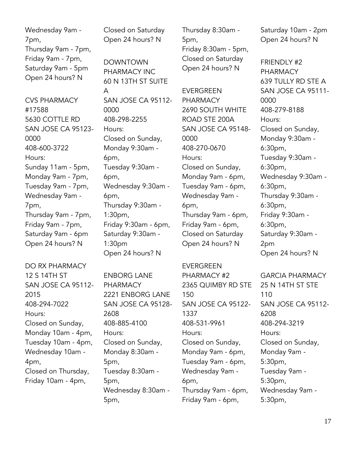Wednesday 9am - 7pm, Thursday 9am - 7pm, Friday 9am - 7pm, Saturday 9am - 5pm Open 24 hours? N

CVS PHARMACY #17588 5630 COTTLE RD SAN JOSE CA 95123- 0000 408-600-3722 Hours: Sunday 11am - 5pm, Monday 9am - 7pm, Tuesday 9am - 7pm, Wednesday 9am - 7pm, Thursday 9am - 7pm, Friday 9am - 7pm, Saturday 9am - 6pm Open 24 hours? N

DO RX PHARMACY 12 S 14TH ST SAN JOSE CA 95112- 2015 408-294-7022 Hours: Closed on Sunday, Monday 10am - 4pm, Tuesday 10am - 4pm, Wednesday 10am - 4pm, Closed on Thursday, Friday 10am - 4pm,

Closed on Saturday Open 24 hours? N

DOWNTOWN PHARMACY INC 60 N 13TH ST SUITE A SAN JOSE CA 95112- 0000 408-298-2255 Hours: Closed on Sunday, Monday 9:30am - 6pm, Tuesday 9:30am - 6pm, Wednesday 9:30am - 6pm, Thursday 9:30am - 1:30pm, Friday 9:30am - 6pm, Saturday 9:30am - 1:30pm Open 24 hours? N

ENBORG LANE PHARMACY 2221 ENBORG LANE SAN JOSE CA 95128- 2608 408-885-4100 Hours: Closed on Sunday, Monday 8:30am - 5pm, Tuesday 8:30am - 5pm, Wednesday 8:30am - 5pm,

Thursday 8:30am - 5pm, Friday 8:30am - 5pm, Closed on Saturday Open 24 hours? N

**EVERGREEN** PHARMACY 2690 SOUTH WHITE ROAD STE 200A SAN JOSE CA 95148- 0000 408-270-0670 Hours: Closed on Sunday, Monday 9am - 6pm, Tuesday 9am - 6pm, Wednesday 9am - 6pm, Thursday 9am - 6pm, Friday 9am - 6pm, Closed on Saturday Open 24 hours? N

#### EVERGREEN

PHARMACY #2 2365 QUIMBY RD STE 150 SAN JOSE CA 95122- 1337 408-531-9961 Hours: Closed on Sunday, Monday 9am - 6pm, Tuesday 9am - 6pm, Wednesday 9am - 6pm, Thursday 9am - 6pm, Friday 9am - 6pm,

Saturday 10am - 2pm Open 24 hours? N

FRIENDLY #2 PHARMACY 639 TULLY RD STE A SAN JOSE CA 95111- 0000 408-279-8188 Hours: Closed on Sunday, Monday 9:30am - 6:30pm, Tuesday 9:30am - 6:30pm, Wednesday 9:30am - 6:30pm, Thursday 9:30am - 6:30pm, Friday 9:30am - 6:30pm, Saturday 9:30am - 2pm Open 24 hours? N

GARCIA PHARMACY 25 N 14TH ST STE 110 SAN JOSE CA 95112- 6208 408-294-3219 Hours: Closed on Sunday, Monday 9am - 5:30pm, Tuesday 9am - 5:30pm, Wednesday 9am - 5:30pm,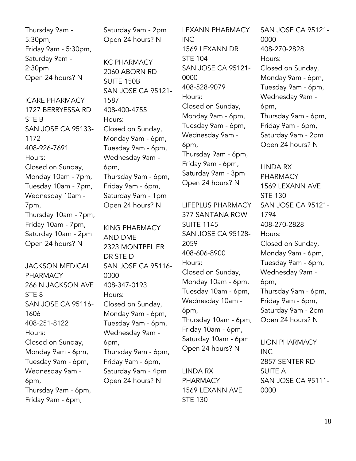Thursday 9am - 5:30pm, Friday 9am - 5:30pm, Saturday 9am - 2:30pm Open 24 hours? N

ICARE PHARMACY 1727 BERRYESSA RD STE B SAN JOSE CA 95133- 1172 408-926-7691 Hours: Closed on Sunday, Monday 10am - 7pm, Tuesday 10am - 7pm, Wednesday 10am - 7pm, Thursday 10am - 7pm, Friday 10am - 7pm, Saturday 10am - 2pm Open 24 hours? N

JACKSON MEDICAL PHARMACY 266 N JACKSON AVE STE 8 SAN JOSE CA 95116- 1606 408-251-8122 Hours: Closed on Sunday, Monday 9am - 6pm, Tuesday 9am - 6pm, Wednesday 9am - 6pm, Thursday 9am - 6pm, Friday 9am - 6pm,

Saturday 9am - 2pm Open 24 hours? N

KC PHARMACY 2060 ABORN RD SUITE 150B SAN JOSE CA 95121- 1587 408-400-4755 Hours: Closed on Sunday, Monday 9am - 6pm, Tuesday 9am - 6pm, Wednesday 9am - 6pm, Thursday 9am - 6pm, Friday 9am - 6pm, Saturday 9am - 1pm Open 24 hours? N

KING PHARMACY AND DME 2323 MONTPELIER DR STE D SAN JOSE CA 95116- 0000 408-347-0193 Hours: Closed on Sunday, Monday 9am - 6pm, Tuesday 9am - 6pm, Wednesday 9am - 6pm, Thursday 9am - 6pm, Friday 9am - 6pm, Saturday 9am - 4pm Open 24 hours? N

LEXANN PHARMACY INC 1569 LEXANN DR STE 104 SAN JOSE CA 95121- 0000 408-528-9079 Hours: Closed on Sunday, Monday 9am - 6pm, Tuesday 9am - 6pm, Wednesday 9am - 6pm, Thursday 9am - 6pm, Friday 9am - 6pm, Saturday 9am - 3pm Open 24 hours? N

LIFEPLUS PHARMACY 377 SANTANA ROW SUITE 1145 SAN JOSE CA 95128- 2059 408-606-8900 Hours: Closed on Sunday, Monday 10am - 6pm, Tuesday 10am - 6pm, Wednesday 10am - 6pm, Thursday 10am - 6pm, Friday 10am - 6pm, Saturday 10am - 6pm Open 24 hours? N

LINDA RX PHARMACY 1569 LEXANN AVE STE 130

SAN JOSE CA 95121- 0000 408-270-2828 Hours: Closed on Sunday, Monday 9am - 6pm, Tuesday 9am - 6pm, Wednesday 9am - 6pm, Thursday 9am - 6pm, Friday 9am - 6pm, Saturday 9am - 2pm Open 24 hours? N

LINDA RX PHARMACY 1569 LEXANN AVE STE 130 SAN JOSE CA 95121- 1794 408-270-2828 Hours: Closed on Sunday, Monday 9am - 6pm, Tuesday 9am - 6pm, Wednesday 9am - 6pm, Thursday 9am - 6pm, Friday 9am - 6pm, Saturday 9am - 2pm Open 24 hours? N

LION PHARMACY INC 2857 SENTER RD SUITE A SAN JOSE CA 95111- 0000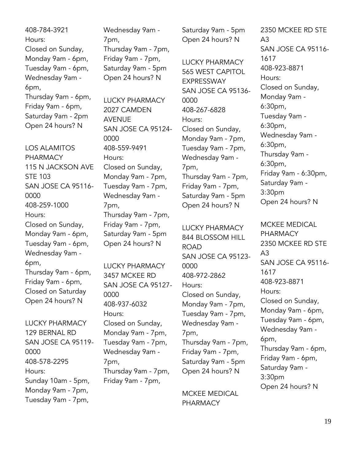408-784-3921 Hours: Closed on Sunday, Monday 9am - 6pm, Tuesday 9am - 6pm, Wednesday 9am - 6pm, Thursday 9am - 6pm, Friday 9am - 6pm, Saturday 9am - 2pm Open 24 hours? N

LOS ALAMITOS PHARMACY 115 N JACKSON AVE STE 103 SAN JOSE CA 95116- 0000 408-259-1000 Hours: Closed on Sunday, Monday 9am - 6pm, Tuesday 9am - 6pm, Wednesday 9am - 6pm, Thursday 9am - 6pm, Friday 9am - 6pm, Closed on Saturday Open 24 hours? N

LUCKY PHARMACY 129 BERNAL RD SAN JOSE CA 95119- 0000 408-578-2295 Hours: Sunday 10am - 5pm, Monday 9am - 7pm, Tuesday 9am - 7pm,

Wednesday 9am - 7pm, Thursday 9am - 7pm, Friday 9am - 7pm, Saturday 9am - 5pm Open 24 hours? N

LUCKY PHARMACY 2027 CAMDEN AVENUE SAN JOSE CA 95124- 0000 408-559-9491 Hours: Closed on Sunday, Monday 9am - 7pm, Tuesday 9am - 7pm, Wednesday 9am - 7pm, Thursday 9am - 7pm, Friday 9am - 7pm, Saturday 9am - 5pm Open 24 hours? N

LUCKY PHARMACY 3457 MCKEE RD SAN JOSE CA 95127- 0000 408-937-6032 Hours: Closed on Sunday, Monday 9am - 7pm, Tuesday 9am - 7pm, Wednesday 9am - 7pm, Thursday 9am - 7pm, Friday 9am - 7pm,

Saturday 9am - 5pm Open 24 hours? N

LUCKY PHARMACY 565 WEST CAPITOL EXPRESSWAY SAN JOSE CA 95136- 0000 408-267-6828 Hours: Closed on Sunday, Monday 9am - 7pm, Tuesday 9am - 7pm, Wednesday 9am - 7pm, Thursday 9am - 7pm, Friday 9am - 7pm, Saturday 9am - 5pm Open 24 hours? N

LUCKY PHARMACY 844 BLOSSOM HILL ROAD SAN JOSE CA 95123- 0000 408-972-2862 Hours: Closed on Sunday, Monday 9am - 7pm, Tuesday 9am - 7pm, Wednesday 9am - 7pm, Thursday 9am - 7pm, Friday 9am - 7pm, Saturday 9am - 5pm Open 24 hours? N

MCKEE MEDICAL PHARMACY

2350 MCKEE RD STE  $A<sub>3</sub>$ SAN JOSE CA 95116- 1617 408-923-8871 Hours: Closed on Sunday, Monday 9am - 6:30pm, Tuesday 9am - 6:30pm, Wednesday 9am - 6:30pm, Thursday 9am - 6:30pm, Friday 9am - 6:30pm, Saturday 9am - 3:30pm Open 24 hours? N

MCKEE MEDICAL PHARMACY 2350 MCKEE RD STE A3 SAN JOSE CA 95116- 1617 408-923-8871 Hours: Closed on Sunday, Monday 9am - 6pm, Tuesday 9am - 6pm, Wednesday 9am - 6pm, Thursday 9am - 6pm, Friday 9am - 6pm, Saturday 9am - 3:30pm Open 24 hours? N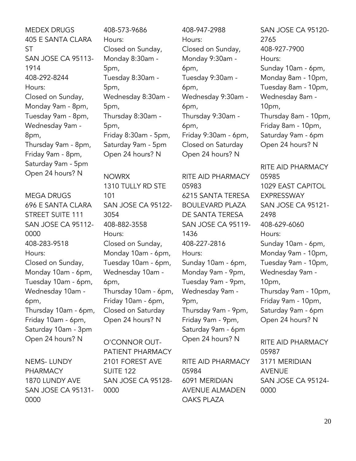MEDEX DRUGS 405 E SANTA CLARA ST SAN JOSE CA 95113- 1914 408-292-8244 Hours: Closed on Sunday, Monday 9am - 8pm, Tuesday 9am - 8pm, Wednesday 9am - 8pm, Thursday 9am - 8pm, Friday 9am - 8pm, Saturday 9am - 5pm Open 24 hours? N

MEGA DRUGS 696 E SANTA CLARA STREET SUITE 111 SAN JOSE CA 95112- 0000 408-283-9518 Hours: Closed on Sunday, Monday 10am - 6pm, Tuesday 10am - 6pm, Wednesday 10am - 6pm, Thursday 10am - 6pm, Friday 10am - 6pm, Saturday 10am - 3pm Open 24 hours? N

NEMS- LUNDY PHARMACY 1870 LUNDY AVE SAN JOSE CA 95131- 0000

408-573-9686 Hours: Closed on Sunday, Monday 8:30am - 5pm, Tuesday 8:30am - 5pm, Wednesday 8:30am - 5pm, Thursday 8:30am - 5pm, Friday 8:30am - 5pm, Saturday 9am - 5pm Open 24 hours? N

NOWRX 1310 TULLY RD STE 101 SAN JOSE CA 95122- 3054 408-882-3558 Hours: Closed on Sunday, Monday 10am - 6pm, Tuesday 10am - 6pm, Wednesday 10am - 6pm, Thursday 10am - 6pm, Friday 10am - 6pm, Closed on Saturday Open 24 hours? N

O'CONNOR OUT-PATIENT PHARMACY 2101 FOREST AVE SUITE 122 SAN JOSE CA 95128- 0000

408-947-2988 Hours: Closed on Sunday, Monday 9:30am - 6pm, Tuesday 9:30am - 6pm, Wednesday 9:30am - 6pm, Thursday 9:30am - 6pm, Friday 9:30am - 6pm, Closed on Saturday Open 24 hours? N

RITE AID PHARMACY 05983 6215 SANTA TERESA BOULEVARD PLAZA DE SANTA TERESA SAN JOSE CA 95119- 1436 408-227-2816 Hours: Sunday 10am - 6pm, Monday 9am - 9pm, Tuesday 9am - 9pm, Wednesday 9am - 9pm, Thursday 9am - 9pm, Friday 9am - 9pm, Saturday 9am - 6pm Open 24 hours? N

RITE AID PHARMACY 05984 6091 MERIDIAN AVENUE ALMADEN OAKS PLAZA

SAN JOSE CA 95120- 2765 408-927-7900 Hours: Sunday 10am - 6pm, Monday 8am - 10pm, Tuesday 8am - 10pm, Wednesday 8am - 10pm, Thursday 8am - 10pm, Friday 8am - 10pm, Saturday 9am - 6pm Open 24 hours? N

RITE AID PHARMACY 05985 1029 EAST CAPITOL EXPRESSWAY SAN JOSE CA 95121- 2498 408-629-6060 Hours: Sunday 10am - 6pm, Monday 9am - 10pm, Tuesday 9am - 10pm, Wednesday 9am - 10pm, Thursday 9am - 10pm, Friday 9am - 10pm, Saturday 9am - 6pm Open 24 hours? N

RITE AID PHARMACY 05987 3171 MERIDIAN AVENUE SAN JOSE CA 95124- 0000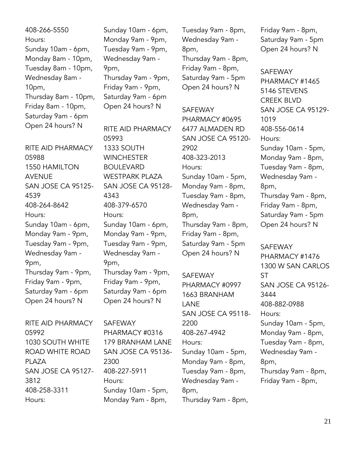408-266-5550 Hours: Sunday 10am - 6pm, Monday 8am - 10pm, Tuesday 8am - 10pm, Wednesday 8am - 10pm, Thursday 8am - 10pm, Friday 8am - 10pm, Saturday 9am - 6pm Open 24 hours? N

RITE AID PHARMACY 05988 1550 HAMILTON AVENUE SAN JOSE CA 95125- 4539 408-264-8642 Hours: Sunday 10am - 6pm, Monday 9am - 9pm, Tuesday 9am - 9pm, Wednesday 9am - 9pm, Thursday 9am - 9pm, Friday 9am - 9pm, Saturday 9am - 6pm Open 24 hours? N

RITE AID PHARMACY 05992 1030 SOUTH WHITE ROAD WHITE ROAD PLAZA SAN JOSE CA 95127- 3812 408-258-3311 Hours:

Sunday 10am - 6pm, Monday 9am - 9pm, Tuesday 9am - 9pm, Wednesday 9am - 9pm, Thursday 9am - 9pm, Friday 9am - 9pm, Saturday 9am - 6pm Open 24 hours? N

RITE AID PHARMACY 05993 1333 SOUTH **WINCHESTER** BOULEVARD WESTPARK PLAZA SAN JOSE CA 95128- 4343 408-379-6570 Hours: Sunday 10am - 6pm, Monday 9am - 9pm, Tuesday 9am - 9pm, Wednesday 9am - 9pm, Thursday 9am - 9pm, Friday 9am - 9pm, Saturday 9am - 6pm Open 24 hours? N

SAFEWAY

PHARMACY #0316 179 BRANHAM LANE SAN JOSE CA 95136- 2300 408-227-5911 Hours: Sunday 10am - 5pm, Monday 9am - 8pm,

Tuesday 9am - 8pm, Wednesday 9am - 8pm, Thursday 9am - 8pm, Friday 9am - 8pm, Saturday 9am - 5pm Open 24 hours? N

SAFEWAY PHARMACY #0695 6477 ALMADEN RD SAN JOSE CA 95120- 2902 408-323-2013 Hours: Sunday 10am - 5pm, Monday 9am - 8pm, Tuesday 9am - 8pm, Wednesday 9am - 8pm, Thursday 9am - 8pm, Friday 9am - 8pm, Saturday 9am - 5pm Open 24 hours? N

SAFEWAY PHARMACY #0997 1663 BRANHAM LANE SAN JOSE CA 95118- 2200 408-267-4942 Hours: Sunday 10am - 5pm, Monday 9am - 8pm, Tuesday 9am - 8pm, Wednesday 9am - 8pm, Thursday 9am - 8pm,

Friday 9am - 8pm, Saturday 9am - 5pm Open 24 hours? N

SAFEWAY PHARMACY #1465 5146 STEVENS CREEK BLVD SAN JOSE CA 95129- 1019 408-556-0614 Hours: Sunday 10am - 5pm, Monday 9am - 8pm, Tuesday 9am - 8pm, Wednesday 9am - 8pm, Thursday 9am - 8pm, Friday 9am - 8pm, Saturday 9am - 5pm Open 24 hours? N

SAFEWAY PHARMACY #1476 1300 W SAN CARLOS ST SAN JOSE CA 95126- 3444 408-882-0988 Hours: Sunday 10am - 5pm, Monday 9am - 8pm, Tuesday 9am - 8pm, Wednesday 9am - 8pm, Thursday 9am - 8pm, Friday 9am - 8pm,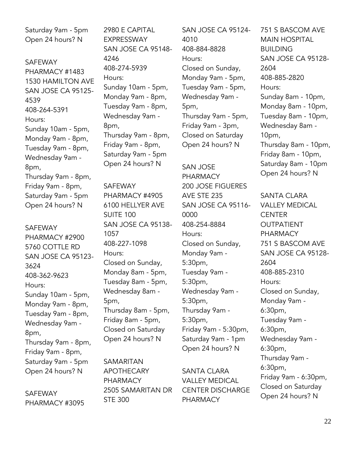Saturday 9am - 5pm Open 24 hours? N

SAFEWAY PHARMACY #1483 1530 HAMILTON AVE SAN JOSE CA 95125- 4539 408-264-5391 Hours: Sunday 10am - 5pm, Monday 9am - 8pm, Tuesday 9am - 8pm, Wednesday 9am - 8pm, Thursday 9am - 8pm, Friday 9am - 8pm, Saturday 9am - 5pm Open 24 hours? N

SAFEWAY PHARMACY #2900 5760 COTTLE RD SAN JOSE CA 95123- 3624 408-362-9623 Hours: Sunday 10am - 5pm, Monday 9am - 8pm, Tuesday 9am - 8pm, Wednesday 9am - 8pm, Thursday 9am - 8pm, Friday 9am - 8pm, Saturday 9am - 5pm Open 24 hours? N

SAFEWAY PHARMACY #3095 2980 E CAPITAL EXPRESSWAY SAN JOSE CA 95148- 4246 408-274-5939 Hours: Sunday 10am - 5pm, Monday 9am - 8pm, Tuesday 9am - 8pm, Wednesday 9am - 8pm, Thursday 9am - 8pm, Friday 9am - 8pm, Saturday 9am - 5pm Open 24 hours? N

SAFEWAY PHARMACY #4905 6100 HELLYER AVE SUITE 100 SAN JOSE CA 95138- 1057 408-227-1098 Hours: Closed on Sunday, Monday 8am - 5pm, Tuesday 8am - 5pm, Wednesday 8am - 5pm, Thursday 8am - 5pm, Friday 8am - 5pm, Closed on Saturday Open 24 hours? N

SAMARITAN APOTHECARY PHARMACY 2505 SAMARITAN DR STE 300

SAN JOSE CA 95124- 4010 408-884-8828 Hours: Closed on Sunday, Monday 9am - 5pm, Tuesday 9am - 5pm, Wednesday 9am - 5pm, Thursday 9am - 5pm, Friday 9am - 3pm, Closed on Saturday Open 24 hours? N

SAN JOSE PHARMACY 200 JOSE FIGUERES AVE STE 235 SAN JOSE CA 95116- 0000 408-254-8884 Hours: Closed on Sunday, Monday 9am - 5:30pm, Tuesday 9am - 5:30pm, Wednesday 9am - 5:30pm, Thursday 9am - 5:30pm, Friday 9am - 5:30pm, Saturday 9am - 1pm Open 24 hours? N

SANTA CLARA VALLEY MEDICAL CENTER DISCHARGE PHARMACY

751 S BASCOM AVE MAIN HOSPITAL **BUILDING** SAN JOSE CA 95128- 2604 408-885-2820 Hours: Sunday 8am - 10pm, Monday 8am - 10pm, Tuesday 8am - 10pm, Wednesday 8am - 10pm, Thursday 8am - 10pm, Friday 8am - 10pm, Saturday 8am - 10pm Open 24 hours? N

SANTA CLARA VALLEY MEDICAL **CENTER** OUTPATIENT PHARMACY 751 S BASCOM AVE SAN JOSE CA 95128- 2604 408-885-2310 Hours: Closed on Sunday, Monday 9am - 6:30pm, Tuesday 9am - 6:30pm, Wednesday 9am - 6:30pm, Thursday 9am - 6:30pm, Friday 9am - 6:30pm, Closed on Saturday Open 24 hours? N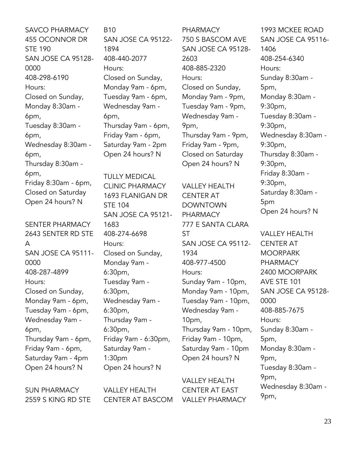SAVCO PHARMACY 455 OCONNOR DR STE 190 SAN JOSE CA 95128- 0000 408-298-6190 Hours: Closed on Sunday, Monday 8:30am - 6pm, Tuesday 8:30am - 6pm, Wednesday 8:30am - 6pm, Thursday 8:30am - 6pm, Friday 8:30am - 6pm, Closed on Saturday Open 24 hours? N

SENTER PHARMACY 2643 SENTER RD STE A SAN JOSE CA 95111- 0000 408-287-4899 Hours: Closed on Sunday, Monday 9am - 6pm, Tuesday 9am - 6pm, Wednesday 9am - 6pm, Thursday 9am - 6pm, Friday 9am - 6pm, Saturday 9am - 4pm Open 24 hours? N

B10 SAN JOSE CA 95122- 1894 408-440-2077 Hours: Closed on Sunday, Monday 9am - 6pm, Tuesday 9am - 6pm, Wednesday 9am - 6pm, Thursday 9am - 6pm, Friday 9am - 6pm, Saturday 9am - 2pm Open 24 hours? N

TULLY MEDICAL CLINIC PHARMACY 1693 FLANIGAN DR STE 104 SAN JOSE CA 95121- 1683 408-274-6698 Hours: Closed on Sunday, Monday 9am - 6:30pm, Tuesday 9am - 6:30pm, Wednesday 9am - 6:30pm, Thursday 9am - 6:30pm, Friday 9am - 6:30pm, Saturday 9am - 1:30pm Open 24 hours? N

PHARMACY 750 S BASCOM AVE SAN JOSE CA 95128- 2603 408-885-2320 Hours: Closed on Sunday, Monday 9am - 9pm, Tuesday 9am - 9pm, Wednesday 9am - 9pm, Thursday 9am - 9pm, Friday 9am - 9pm, Closed on Saturday Open 24 hours? N

VALLEY HEALTH CENTER AT DOWNTOWN PHARMACY 777 E SANTA CLARA **ST** SAN JOSE CA 95112- 1934 408-977-4500 Hours: Sunday 9am - 10pm, Monday 9am - 10pm, Tuesday 9am - 10pm, Wednesday 9am - 10pm, Thursday 9am - 10pm, Friday 9am - 10pm, Saturday 9am - 10pm Open 24 hours? N

VALLEY HEALTH CENTER AT EAST VALLEY PHARMACY

1993 MCKEE ROAD SAN JOSE CA 95116- 1406 408-254-6340 Hours: Sunday 8:30am - 5pm, Monday 8:30am - 9:30pm, Tuesday 8:30am - 9:30pm, Wednesday 8:30am - 9:30pm, Thursday 8:30am - 9:30pm, Friday 8:30am - 9:30pm, Saturday 8:30am - 5pm Open 24 hours? N

VALLEY HEALTH CENTER AT MOORPARK PHARMACY 2400 MOORPARK AVE STE 101 SAN JOSE CA 95128- 0000 408-885-7675 Hours: Sunday 8:30am - 5pm, Monday 8:30am - 9pm, Tuesday 8:30am - 9pm, Wednesday 8:30am - 9pm,

SUN PHARMACY 2559 S KING RD STE VALLEY HEALTH CENTER AT BASCOM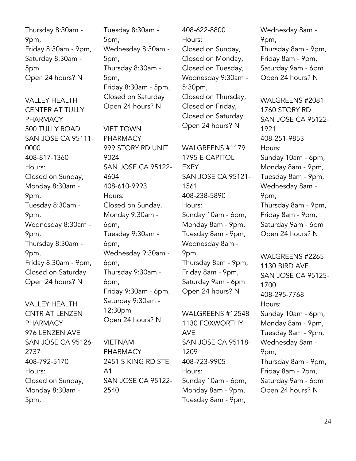Thursday 8:30am - 9pm, Friday 8:30am - 9pm, Saturday 8:30am - 5pm Open 24 hours? N

VALLEY HEALTH CENTER AT TULLY PHARMACY 500 TULLY ROAD SAN JOSE CA 95111- 0000 408-817-1360 Hours: Closed on Sunday, Monday 8:30am - 9pm, Tuesday 8:30am - 9pm, Wednesday 8:30am - 9pm, Thursday 8:30am - 9pm, Friday 8:30am - 9pm, Closed on Saturday Open 24 hours? N

VALLEY HEALTH CNTR AT LENZEN PHARMACY 976 LENZEN AVE SAN JOSE CA 95126- 2737 408-792-5170 Hours: Closed on Sunday, Monday 8:30am - 5pm,

Tuesday 8:30am - 5pm, Wednesday 8:30am - 5pm, Thursday 8:30am - 5pm, Friday 8:30am - 5pm, Closed on Saturday Open 24 hours? N

VIET TOWN PHARMACY 999 STORY RD UNIT 9024 SAN JOSE CA 95122- 4604 408-610-9993 Hours: Closed on Sunday, Monday 9:30am - 6pm, Tuesday 9:30am - 6pm, Wednesday 9:30am - 6pm, Thursday 9:30am - 6pm, Friday 9:30am - 6pm, Saturday 9:30am - 12:30pm Open 24 hours? N

VIETNAM PHARMACY 2451 S KING RD STE A1 SAN JOSE CA 95122- 2540

408-622-8800 Hours: Closed on Sunday, Closed on Monday, Closed on Tuesday, Wednesday 9:30am - 5:30pm, Closed on Thursday, Closed on Friday, Closed on Saturday Open 24 hours? N

WALGREENS #1179 1795 E CAPITOL EXPY SAN JOSE CA 95121- 1561 408-238-5890 Hours: Sunday 10am - 6pm, Monday 8am - 9pm, Tuesday 8am - 9pm, Wednesday 8am - 9pm, Thursday 8am - 9pm, Friday 8am - 9pm, Saturday 9am - 6pm Open 24 hours? N

WALGREENS #12548 1130 FOXWORTHY AVE SAN JOSE CA 95118- 1209 408-723-9905 Hours: Sunday 10am - 6pm, Monday 8am - 9pm, Tuesday 8am - 9pm,

Wednesday 8am - 9pm, Thursday 8am - 9pm, Friday 8am - 9pm, Saturday 9am - 6pm Open 24 hours? N

WALGREENS #2081 1760 STORY RD SAN JOSE CA 95122- 1921 408-251-9853 Hours: Sunday 10am - 6pm, Monday 8am - 9pm, Tuesday 8am - 9pm, Wednesday 8am - 9pm, Thursday 8am - 9pm, Friday 8am - 9pm, Saturday 9am - 6pm Open 24 hours? N

WALGREENS #2265 1130 BIRD AVE SAN JOSE CA 95125- 1700 408-295-7768 Hours: Sunday 10am - 6pm, Monday 8am - 9pm, Tuesday 8am - 9pm, Wednesday 8am - 9pm, Thursday 8am - 9pm, Friday 8am - 9pm, Saturday 9am - 6pm Open 24 hours? N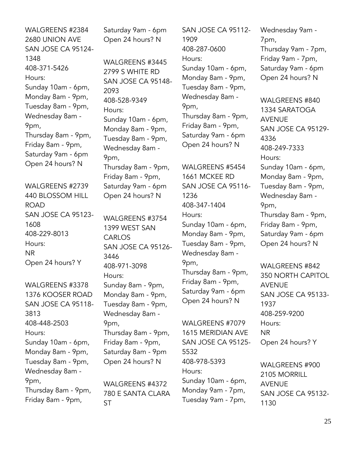WALGREENS #2384 2680 UNION AVE SAN JOSE CA 95124- 1348 408-371-5426 Hours: Sunday 10am - 6pm, Monday 8am - 9pm, Tuesday 8am - 9pm, Wednesday 8am - 9pm, Thursday 8am - 9pm, Friday 8am - 9pm, Saturday 9am - 6pm Open 24 hours? N

WALGREENS #2739 440 BLOSSOM HILL ROAD SAN JOSE CA 95123- 1608 408-229-8013 Hours: NR Open 24 hours? Y

WALGREENS #3378 1376 KOOSER ROAD SAN JOSE CA 95118- 3813 408-448-2503 Hours: Sunday 10am - 6pm, Monday 8am - 9pm, Tuesday 8am - 9pm, Wednesday 8am - 9pm, Thursday 8am - 9pm, Friday 8am - 9pm,

Saturday 9am - 6pm Open 24 hours? N

WALGREENS #3445 2799 S WHITE RD SAN JOSE CA 95148- 2093 408-528-9349 Hours: Sunday 10am - 6pm, Monday 8am - 9pm, Tuesday 8am - 9pm, Wednesday 8am - 9pm, Thursday 8am - 9pm, Friday 8am - 9pm, Saturday 9am - 6pm Open 24 hours? N

WALGREENS #3754 1399 WEST SAN CARLOS SAN JOSE CA 95126- 3446 408-971-3098 Hours: Sunday 8am - 9pm, Monday 8am - 9pm, Tuesday 8am - 9pm, Wednesday 8am - 9pm, Thursday 8am - 9pm, Friday 8am - 9pm, Saturday 8am - 9pm Open 24 hours? N

WALGREENS #4372 780 E SANTA CLARA ST

SAN JOSE CA 95112- 1909 408-287-0600 Hours: Sunday 10am - 6pm, Monday 8am - 9pm, Tuesday 8am - 9pm, Wednesday 8am - 9pm, Thursday 8am - 9pm, Friday 8am - 9pm, Saturday 9am - 6pm Open 24 hours? N

WALGREENS #5454 1661 MCKEE RD SAN JOSE CA 95116- 1236 408-347-1404 Hours: Sunday 10am - 6pm, Monday 8am - 9pm, Tuesday 8am - 9pm, Wednesday 8am - 9pm, Thursday 8am - 9pm, Friday 8am - 9pm, Saturday 9am - 6pm Open 24 hours? N

WALGREENS #7079 1615 MERIDIAN AVE SAN JOSE CA 95125- 5532 408-978-5393 Hours: Sunday 10am - 6pm, Monday 9am - 7pm, Tuesday 9am - 7pm,

Wednesday 9am - 7pm, Thursday 9am - 7pm, Friday 9am - 7pm, Saturday 9am - 6pm Open 24 hours? N

WALGREENS #840 1334 SARATOGA AVENUE SAN JOSE CA 95129- 4336 408-249-7333 Hours: Sunday 10am - 6pm, Monday 8am - 9pm, Tuesday 8am - 9pm, Wednesday 8am - 9pm, Thursday 8am - 9pm, Friday 8am - 9pm, Saturday 9am - 6pm Open 24 hours? N

WALGREENS #842 350 NORTH CAPITOL AVENUE SAN JOSE CA 95133- 1937 408-259-9200 Hours: NR Open 24 hours? Y

WALGREENS #900 2105 MORRILL AVENUE SAN JOSE CA 95132- 1130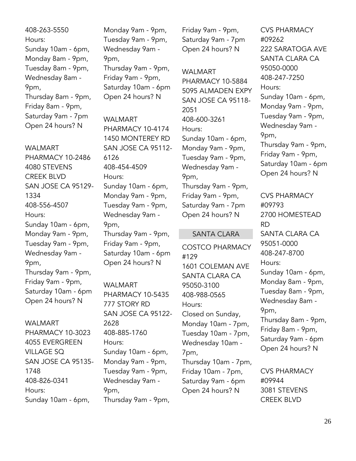408-263-5550 Hours: Sunday 10am - 6pm, Monday 8am - 9pm, Tuesday 8am - 9pm, Wednesday 8am - 9pm, Thursday 8am - 9pm, Friday 8am - 9pm, Saturday 9am - 7pm Open 24 hours? N

WALMART PHARMACY 10-2486 4080 STEVENS CREEK BLVD SAN JOSE CA 95129- 1334 408-556-4507 Hours: Sunday 10am - 6pm, Monday 9am - 9pm, Tuesday 9am - 9pm, Wednesday 9am - 9pm, Thursday 9am - 9pm, Friday 9am - 9pm, Saturday 10am - 6pm Open 24 hours? N

#### WALMART

PHARMACY 10-3023 4055 EVERGREEN VILLAGE SQ SAN JOSE CA 95135- 1748 408-826-0341 Hours: Sunday 10am - 6pm,

Monday 9am - 9pm, Tuesday 9am - 9pm, Wednesday 9am - 9pm, Thursday 9am - 9pm, Friday 9am - 9pm, Saturday 10am - 6pm Open 24 hours? N

WALMART PHARMACY 10-4174 1450 MONTEREY RD SAN JOSE CA 95112- 6126 408-454-4509 Hours: Sunday 10am - 6pm, Monday 9am - 9pm, Tuesday 9am - 9pm, Wednesday 9am - 9pm, Thursday 9am - 9pm, Friday 9am - 9pm, Saturday 10am - 6pm Open 24 hours? N

WALMART PHARMACY 10-5435 777 STORY RD SAN JOSE CA 95122- 2628 408-885-1760 Hours: Sunday 10am - 6pm, Monday 9am - 9pm, Tuesday 9am - 9pm, Wednesday 9am - 9pm, Thursday 9am - 9pm,

Friday 9am - 9pm, Saturday 9am - 7pm Open 24 hours? N

#### WALMART

PHARMACY 10-5884 5095 ALMADEN EXPY SAN JOSE CA 95118- 2051 408-600-3261 Hours: Sunday 10am - 6pm, Monday 9am - 9pm, Tuesday 9am - 9pm, Wednesday 9am - 9pm, Thursday 9am - 9pm, Friday 9am - 9pm, Saturday 9am - 7pm Open 24 hours? N

#### SANTA CLARA

COSTCO PHARMACY #129 1601 COLEMAN AVE SANTA CLARA CA 95050-3100 408-988-0565 Hours: Closed on Sunday, Monday 10am - 7pm, Tuesday 10am - 7pm, Wednesday 10am - 7pm, Thursday 10am - 7pm, Friday 10am - 7pm, Saturday 9am - 6pm Open 24 hours? N

CVS PHARMACY #09262 222 SARATOGA AVE SANTA CLARA CA 95050-0000 408-247-7250 Hours: Sunday 10am - 6pm, Monday 9am - 9pm, Tuesday 9am - 9pm, Wednesday 9am - 9pm, Thursday 9am - 9pm, Friday 9am - 9pm, Saturday 10am - 6pm Open 24 hours? N

CVS PHARMACY #09793 2700 HOMESTEAD RD SANTA CLARA CA 95051-0000 408-247-8700 Hours: Sunday 10am - 6pm, Monday 8am - 9pm, Tuesday 8am - 9pm, Wednesday 8am - 9pm, Thursday 8am - 9pm, Friday 8am - 9pm, Saturday 9am - 6pm Open 24 hours? N

CVS PHARMACY #09944 3081 STEVENS CREEK BLVD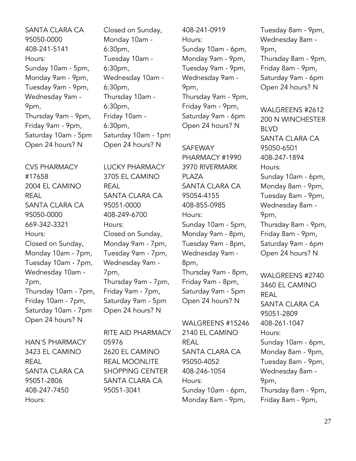SANTA CLARA CA 95050-0000 408-241-5141 Hours: Sunday 10am - 5pm, Monday 9am - 9pm, Tuesday 9am - 9pm, Wednesday 9am - 9pm, Thursday 9am - 9pm, Friday 9am - 9pm, Saturday 10am - 5pm Open 24 hours? N

CVS PHARMACY #17658 2004 EL CAMINO REAL SANTA CLARA CA 95050-0000 669-342-3321 Hours: Closed on Sunday, Monday 10am - 7pm, Tuesday 10am - 7pm, Wednesday 10am - 7pm, Thursday 10am - 7pm, Friday 10am - 7pm, Saturday 10am - 7pm Open 24 hours? N

HAN'S PHARMACY 3423 EL CAMINO REAL SANTA CLARA CA 95051-2806 408-247-7450 Hours:

Closed on Sunday, Monday 10am - 6:30pm, Tuesday 10am - 6:30pm, Wednesday 10am - 6:30pm, Thursday 10am - 6:30pm, Friday 10am - 6:30pm, Saturday 10am - 1pm Open 24 hours? N

LUCKY PHARMACY 3705 EL CAMINO REAL SANTA CLARA CA 95051-0000 408-249-6700 Hours: Closed on Sunday, Monday 9am - 7pm, Tuesday 9am - 7pm, Wednesday 9am - 7pm, Thursday 9am - 7pm, Friday 9am - 7pm, Saturday 9am - 5pm Open 24 hours? N

RITE AID PHARMACY 05976 2620 EL CAMINO REAL MOONLITE SHOPPING CENTER SANTA CLARA CA 95051-3041

408-241-0919 Hours: Sunday 10am - 6pm, Monday 9am - 9pm, Tuesday 9am - 9pm, Wednesday 9am - 9pm, Thursday 9am - 9pm, Friday 9am - 9pm, Saturday 9am - 6pm Open 24 hours? N

SAFEWAY PHARMACY #1990 3970 RIVERMARK PLAZA SANTA CLARA CA 95054-4155 408-855-0985 Hours: Sunday 10am - 5pm, Monday 9am - 8pm, Tuesday 9am - 8pm, Wednesday 9am - 8pm, Thursday 9am - 8pm, Friday 9am - 8pm, Saturday 9am - 5pm

WALGREENS #15246 2140 EL CAMINO REAL SANTA CLARA CA 95050-4052 408-246-1054 Hours: Sunday 10am - 6pm, Monday 8am - 9pm,

Open 24 hours? N

Tuesday 8am - 9pm, Wednesday 8am - 9pm, Thursday 8am - 9pm, Friday 8am - 9pm, Saturday 9am - 6pm Open 24 hours? N

WALGREENS #2612 200 N WINCHESTER BLVD SANTA CLARA CA 95050-6501 408-247-1894 Hours: Sunday 10am - 6pm, Monday 8am - 9pm, Tuesday 8am - 9pm, Wednesday 8am - 9pm, Thursday 8am - 9pm, Friday 8am - 9pm, Saturday 9am - 6pm Open 24 hours? N

WALGREENS #2740 3460 EL CAMINO REAL SANTA CLARA CA 95051-2809 408-261-1047 Hours: Sunday 10am - 6pm, Monday 8am - 9pm, Tuesday 8am - 9pm, Wednesday 8am - 9pm, Thursday 8am - 9pm, Friday 8am - 9pm,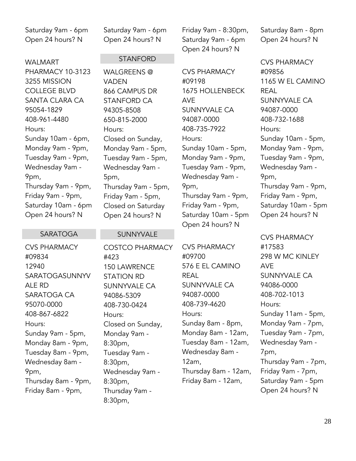Saturday 9am - 6pm Open 24 hours? N

WALMART PHARMACY 10-3123 3255 MISSION COLLEGE BLVD SANTA CLARA CA 95054-1829 408-961-4480 Hours: Sunday 10am - 6pm, Monday 9am - 9pm, Tuesday 9am - 9pm, Wednesday 9am - 9pm, Thursday 9am - 9pm, Friday 9am - 9pm, Saturday 10am - 6pm Open 24 hours? N

#### Saturday 9am - 6pm Open 24 hours? N

#### STANFORD

WALGREENS @ VADEN 866 CAMPUS DR STANFORD CA 94305-8508 650-815-2000 Hours: Closed on Sunday, Monday 9am - 5pm, Tuesday 9am - 5pm, Wednesday 9am - 5pm, Thursday 9am - 5pm, Friday 9am - 5pm, Closed on Saturday Open 24 hours? N

#### SARATOGA

CVS PHARMACY #09834 12940 SARATOGASUNNYV ALE RD SARATOGA CA 95070-0000 408-867-6822 Hours: Sunday 9am - 5pm, Monday 8am - 9pm, Tuesday 8am - 9pm, Wednesday 8am - 9pm, Thursday 8am - 9pm, Friday 8am - 9pm,

#### SUNNYVALE

COSTCO PHARMACY #423 150 LAWRENCE STATION RD SUNNYVALE CA 94086-5309 408-730-0424 Hours: Closed on Sunday, Monday 9am - 8:30pm, Tuesday 9am - 8:30pm, Wednesday 9am - 8:30pm, Thursday 9am - 8:30pm,

Friday 9am - 8:30pm, Saturday 9am - 6pm Open 24 hours? N

CVS PHARMACY #09198 1675 HOLLENBECK AVE SUNNYVALE CA 94087-0000 408-735-7922 Hours: Sunday 10am - 5pm, Monday 9am - 9pm, Tuesday 9am - 9pm, Wednesday 9am - 9pm, Thursday 9am - 9pm, Friday 9am - 9pm, Saturday 10am - 5pm Open 24 hours? N

CVS PHARMACY #09700 576 E EL CAMINO REAL SUNNYVALE CA 94087-0000 408-739-4620 Hours: Sunday 8am - 8pm, Monday 8am - 12am, Tuesday 8am - 12am, Wednesday 8am - 12am, Thursday 8am - 12am, Friday 8am - 12am,

Saturday 8am - 8pm Open 24 hours? N

CVS PHARMACY #09856 1165 W EL CAMINO REAL SUNNYVALE CA 94087-0000 408-732-1688 Hours: Sunday 10am - 5pm, Monday 9am - 9pm, Tuesday 9am - 9pm, Wednesday 9am - 9pm, Thursday 9am - 9pm, Friday 9am - 9pm, Saturday 10am - 5pm Open 24 hours? N

CVS PHARMACY #17583 298 W MC KINLEY AVE SUNNYVALE CA 94086-0000 408-702-1013 Hours: Sunday 11am - 5pm, Monday 9am - 7pm, Tuesday 9am - 7pm, Wednesday 9am - 7pm, Thursday 9am - 7pm, Friday 9am - 7pm, Saturday 9am - 5pm Open 24 hours? N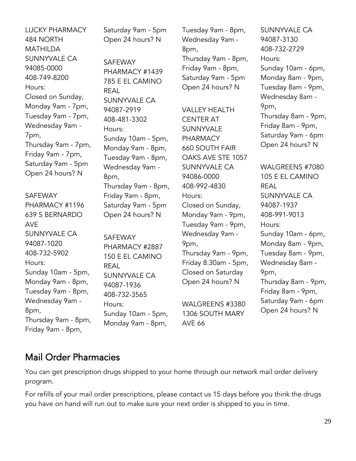LUCKY PHARMACY 484 NORTH **MATHILDA** SUNNYVALE CA 94085-0000 408-749-8200 Hours: Closed on Sunday, Monday 9am - 7pm, Tuesday 9am - 7pm, Wednesday 9am - 7pm, Thursday 9am - 7pm, Friday 9am - 7pm, Saturday 9am - 5pm Open 24 hours? N SAFEWAY PHARMACY #1196 639 S BERNARDO AVE SUNNYVALE CA 94087-1020 408-732-5902 Hours: Sunday 10am - 5pm, Monday 9am - 8pm, Tuesday 9am - 8pm, Wednesday 9am - 8pm, Thursday 9am - 8pm, REAL 8pm,

Saturday 9am - 5pm Open 24 hours? N

SAFEWAY PHARMACY #1439 785 E EL CAMINO SUNNYVALE CA 94087-2919 408-481-3302 Hours: Sunday 10am - 5pm, Monday 9am - 8pm, Tuesday 9am - 8pm, Wednesday 9am - Thursday 9am - 8pm, Friday 9am - 8pm, Saturday 9am - 5pm Open 24 hours? N

SAFEWAY PHARMACY #2887 150 E EL CAMINO REAL SUNNYVALE CA 94087-1936 408-732-3565 Hours: Sunday 10am - 5pm, Monday 9am - 8pm,

Tuesday 9am - 8pm, Wednesday 9am - 8pm, Thursday 9am - 8pm, Friday 9am - 8pm, Saturday 9am - 5pm Open 24 hours? N

VALLEY HEALTH CENTER AT SUNNYVALE PHARMACY 660 SOUTH FAIR OAKS AVE STE 1057 SUNNYVALE CA 94086-0000 408-992-4830 Hours: Closed on Sunday, Monday 9am - 9pm, Tuesday 9am - 9pm, Wednesday 9am - 9pm, Thursday 9am - 9pm, Friday 8:30am - 5pm, Closed on Saturday Open 24 hours? N

WALGREENS #3380 1306 SOUTH MARY AVE 66

SUNNYVALE CA 94087-3130 408-732-2729 Hours: Sunday 10am - 6pm, Monday 8am - 9pm, Tuesday 8am - 9pm, Wednesday 8am - 9pm, Thursday 8am - 9pm, Friday 8am - 9pm, Saturday 9am - 6pm Open 24 hours? N

WALGREENS #7080 105 E EL CAMINO REAL SUNNYVALE CA 94087-1937 408-991-9013 Hours: Sunday 10am - 6pm, Monday 8am - 9pm, Tuesday 8am - 9pm, Wednesday 8am - 9pm, Thursday 8am - 9pm, Friday 8am - 9pm, Saturday 9am - 6pm Open 24 hours? N

## <span id="page-28-0"></span>Mail Order Pharmacies

Friday 9am - 8pm,

You can get prescription drugs shipped to your home through our network mail order delivery program.

For refills of your mail order prescriptions, please contact us 15 days before you think the drugs you have on hand will run out to make sure your next order is shipped to you in time.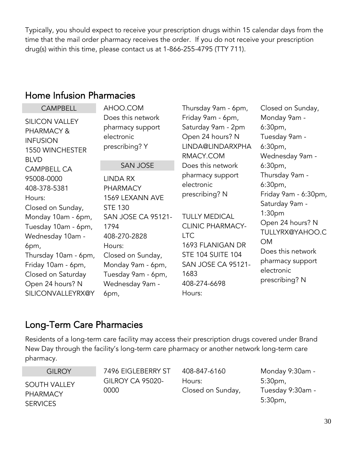Typically, you should expect to receive your prescription drugs within 15 calendar days from the time that the mail order pharmacy receives the order. If you do not receive your prescription drug(s) within this time, please contact us at 1-866-255-4795 (TTY 711).

### <span id="page-29-0"></span>Home Infusion Pharmacies

| <b>CAMPBELL</b>                                                                                                                                                                                                            | AHOO.COM                                                                                                                                                                                                                  | Thursday 9am - 6pm,                                                                                                                                                                                                    | Closed on Sunday,                                                                                                                                                                                                                 |
|----------------------------------------------------------------------------------------------------------------------------------------------------------------------------------------------------------------------------|---------------------------------------------------------------------------------------------------------------------------------------------------------------------------------------------------------------------------|------------------------------------------------------------------------------------------------------------------------------------------------------------------------------------------------------------------------|-----------------------------------------------------------------------------------------------------------------------------------------------------------------------------------------------------------------------------------|
| <b>SILICON VALLEY</b><br>PHARMACY &<br><b>INFUSION</b><br>1550 WINCHESTER<br><b>BLVD</b>                                                                                                                                   | Does this network<br>pharmacy support<br>electronic<br>prescribing? Y                                                                                                                                                     | Friday 9am - 6pm,<br>Saturday 9am - 2pm<br>Open 24 hours? N<br>LINDA@LINDARXPHA<br>RMACY.COM                                                                                                                           | Monday 9am -<br>6:30 <sub>pm</sub><br>Tuesday 9am -<br>6:30 <sub>pm</sub><br>Wednesday 9am -                                                                                                                                      |
| <b>CAMPBELL CA</b>                                                                                                                                                                                                         | <b>SAN JOSE</b>                                                                                                                                                                                                           | Does this network                                                                                                                                                                                                      | 6:30pm,                                                                                                                                                                                                                           |
| 95008-0000<br>408-378-5381<br>Hours:<br>Closed on Sunday,<br>Monday 10am - 6pm,<br>Tuesday 10am - 6pm,<br>Wednesday 10am -<br>6pm,<br>Thursday 10am - 6pm,<br>Friday 10am - 6pm,<br>Closed on Saturday<br>Open 24 hours? N | <b>LINDA RX</b><br><b>PHARMACY</b><br>1569 LEXANN AVE<br><b>STE 130</b><br><b>SAN JOSE CA 95121-</b><br>1794<br>408-270-2828<br>Hours:<br>Closed on Sunday,<br>Monday 9am - 6pm,<br>Tuesday 9am - 6pm,<br>Wednesday 9am - | pharmacy support<br>electronic<br>prescribing? N<br><b>TULLY MEDICAL</b><br><b>CLINIC PHARMACY-</b><br><b>LTC</b><br>1693 FLANIGAN DR<br><b>STE 104 SUITE 104</b><br><b>SAN JOSE CA 95121-</b><br>1683<br>408-274-6698 | Thursday 9am -<br>6:30 <sub>pm</sub><br>Friday 9am - 6:30pm,<br>Saturday 9am -<br>1:30 <sub>pm</sub><br>Open 24 hours? N<br>TULLYRX@YAHOO.C<br><b>OM</b><br>Does this network<br>pharmacy support<br>electronic<br>prescribing? N |
| SILICONVALLEYRX@Y                                                                                                                                                                                                          | 6pm,                                                                                                                                                                                                                      | Hours:                                                                                                                                                                                                                 |                                                                                                                                                                                                                                   |

## <span id="page-29-1"></span>Long-Term Care Pharmacies

Residents of a long-term care facility may access their prescription drugs covered under Brand New Day through the facility's long-term care pharmacy or another network long-term care pharmacy.

**GILROY** SOUTH VALLEY PHARMACY **SERVICES** 

7496 EIGLEBERRY ST GILROY CA 95020- 0000

408-847-6160 Hours: Closed on Sunday,

Monday 9:30am - 5:30pm, Tuesday 9:30am - 5:30pm,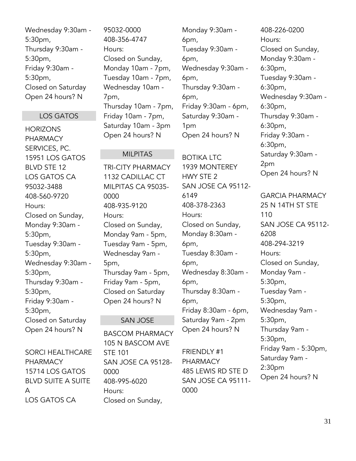Wednesday 9:30am - 5:30pm, Thursday 9:30am - 5:30pm, Friday 9:30am - 5:30pm, Closed on Saturday Open 24 hours? N

#### LOS GATOS

**HORIZONS** PHARMACY SERVICES, PC. 15951 LOS GATOS BLVD STE 12 LOS GATOS CA 95032-3488 408-560-9720 Hours: Closed on Sunday, Monday 9:30am - 5:30pm, Tuesday 9:30am - 5:30pm, Wednesday 9:30am - 5:30pm, Thursday 9:30am - 5:30pm, Friday 9:30am - 5:30pm, Closed on Saturday Open 24 hours? N

SORCI HEALTHCARE PHARMACY 15714 LOS GATOS BLVD SUITE A SUITE A LOS GATOS CA

95032-0000 408-356-4747 Hours: Closed on Sunday, Monday 10am - 7pm, Tuesday 10am - 7pm, Wednesday 10am - 7pm, Thursday 10am - 7pm, Friday 10am - 7pm, Saturday 10am - 3pm Open 24 hours? N

MILPITAS

TRI-CITY PHARMACY 1132 CADILLAC CT MILPITAS CA 95035-

0000

Hours:

5pm,

STE 101

408-995-6020

Closed on Sunday,

0000

Hours:

408-935-9120

Closed on Sunday, Monday 9am - 5pm, Tuesday 9am - 5pm, Wednesday 9am -

Thursday 9am - 5pm, Friday 9am - 5pm, Closed on Saturday Open 24 hours? N

SAN JOSE

BASCOM PHARMACY 105 N BASCOM AVE

SAN JOSE CA 95128-

Monday 9:30am - 6pm, Tuesday 9:30am - 6pm, Wednesday 9:30am - 6pm, Thursday 9:30am - 6pm, Friday 9:30am - 6pm, Saturday 9:30am - 1pm Open 24 hours? N

#### BOTIKA LTC

1939 MONTEREY HWY STE 2 SAN JOSE CA 95112- 6149 408-378-2363 Hours: Closed on Sunday, Monday 8:30am - 6pm, Tuesday 8:30am - 6pm, Wednesday 8:30am - 6pm, Thursday 8:30am - 6pm, Friday 8:30am - 6pm, Saturday 9am - 2pm Open 24 hours? N

FRIENDLY #1 PHARMACY 485 LEWIS RD STE D SAN JOSE CA 95111- 0000

408-226-0200 Hours: Closed on Sunday, Monday 9:30am - 6:30pm, Tuesday 9:30am - 6:30pm, Wednesday 9:30am - 6:30pm, Thursday 9:30am - 6:30pm, Friday 9:30am - 6:30pm, Saturday 9:30am - 2pm Open 24 hours? N

GARCIA PHARMACY 25 N 14TH ST STE 110 SAN JOSE CA 95112- 6208 408-294-3219 Hours: Closed on Sunday, Monday 9am - 5:30pm, Tuesday 9am - 5:30pm, Wednesday 9am - 5:30pm, Thursday 9am - 5:30pm, Friday 9am - 5:30pm, Saturday 9am - 2:30pm Open 24 hours? N

#### 31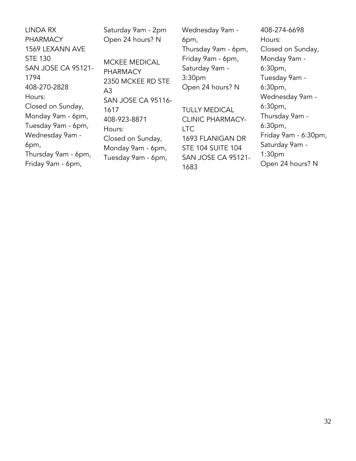LINDA RX PHARMACY 1569 LEXANN AVE STE 130 SAN JOSE CA 95121- 1794 408-270-2828 Hours: Closed on Sunday, Monday 9am - 6pm, Tuesday 9am - 6pm, Wednesday 9am - 6pm, Thursday 9am - 6pm, Friday 9am - 6pm, Saturday 9am - 2pm Open 24 hours? N  $A<sub>3</sub>$ 1617 Hours:

MCKEE MEDICAL PHARMACY 2350 MCKEE RD STE SAN JOSE CA 95116- 408-923-8871 Closed on Sunday, Monday 9am - 6pm, Tuesday 9am - 6pm,

Wednesday 9am - 6pm, Thursday 9am - 6pm, Friday 9am - 6pm, Saturday 9am - 3:30pm Open 24 hours? N

TULLY MEDICAL CLINIC PHARMACY-**LTC** 1693 FLANIGAN DR STE 104 SUITE 104 SAN JOSE CA 95121- 1683

408-274-6698 Hours: Closed on Sunday, Monday 9am - 6:30pm, Tuesday 9am - 6:30pm, Wednesday 9am - 6:30pm, Thursday 9am - 6:30pm, Friday 9am - 6:30pm, Saturday 9am - 1:30pm Open 24 hours? N